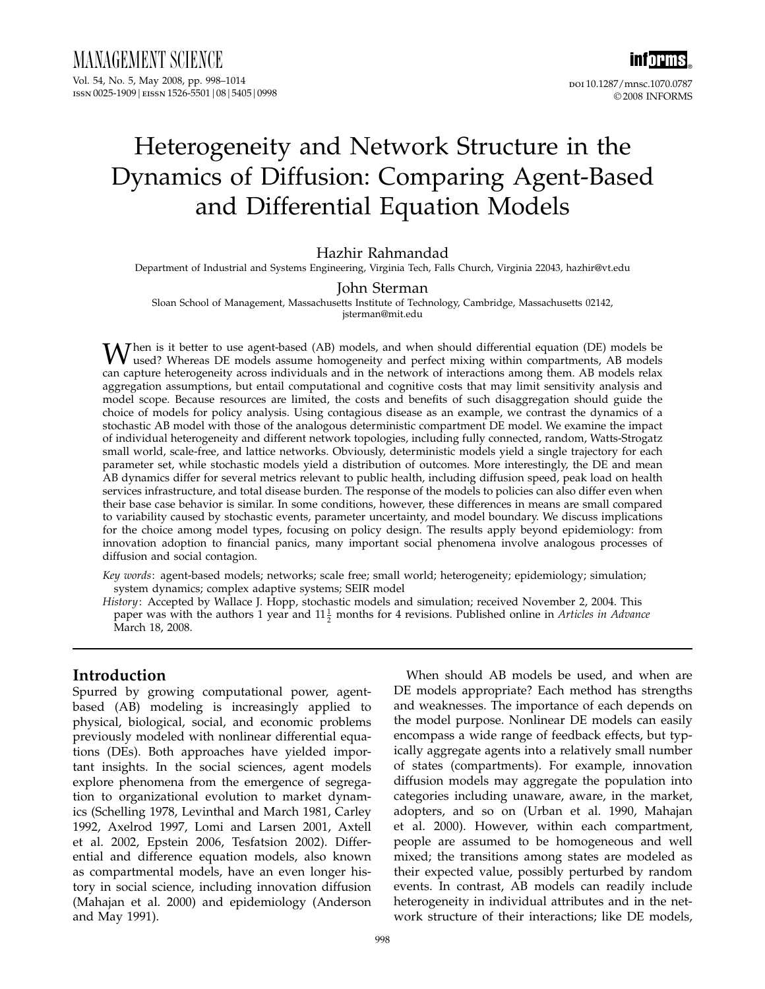inf<mark>orms</mark>。 doi 10.1287/mnsc.1070.0787 © 2008 INFORMS

# Heterogeneity and Network Structure in the Dynamics of Diffusion: Comparing Agent-Based and Differential Equation Models

## Hazhir Rahmandad

Department of Industrial and Systems Engineering, Virginia Tech, Falls Church, Virginia 22043, hazhir@vt.edu

#### John Sterman

Sloan School of Management, Massachusetts Institute of Technology, Cambridge, Massachusetts 02142, jsterman@mit.edu

When is it better to use agent-based (AB) models, and when should differential equation (DE) models be<br>used? Whereas DE models assume homogeneity and perfect mixing within compartments, AB models<br>used? Whereas DE models a can capture heterogeneity across individuals and in the network of interactions among them. AB models relax aggregation assumptions, but entail computational and cognitive costs that may limit sensitivity analysis and model scope. Because resources are limited, the costs and benefits of such disaggregation should guide the choice of models for policy analysis. Using contagious disease as an example, we contrast the dynamics of a stochastic AB model with those of the analogous deterministic compartment DE model. We examine the impact of individual heterogeneity and different network topologies, including fully connected, random, Watts-Strogatz small world, scale-free, and lattice networks. Obviously, deterministic models yield a single trajectory for each parameter set, while stochastic models yield a distribution of outcomes. More interestingly, the DE and mean AB dynamics differ for several metrics relevant to public health, including diffusion speed, peak load on health services infrastructure, and total disease burden. The response of the models to policies can also differ even when their base case behavior is similar. In some conditions, however, these differences in means are small compared to variability caused by stochastic events, parameter uncertainty, and model boundary. We discuss implications for the choice among model types, focusing on policy design. The results apply beyond epidemiology: from innovation adoption to financial panics, many important social phenomena involve analogous processes of diffusion and social contagion.

Key words: agent-based models; networks; scale free; small world; heterogeneity; epidemiology; simulation; system dynamics; complex adaptive systems; SEIR model

History: Accepted by Wallace J. Hopp, stochastic models and simulation; received November 2, 2004. This paper was with the authors 1 year and  $11\frac{1}{2}$  months for 4 revisions. Published online in *Articles in Advance* March 18, 2008.

## Introduction

Spurred by growing computational power, agentbased (AB) modeling is increasingly applied to physical, biological, social, and economic problems previously modeled with nonlinear differential equations (DEs). Both approaches have yielded important insights. In the social sciences, agent models explore phenomena from the emergence of segregation to organizational evolution to market dynamics (Schelling 1978, Levinthal and March 1981, Carley 1992, Axelrod 1997, Lomi and Larsen 2001, Axtell et al. 2002, Epstein 2006, Tesfatsion 2002). Differential and difference equation models, also known as compartmental models, have an even longer history in social science, including innovation diffusion (Mahajan et al. 2000) and epidemiology (Anderson and May 1991).

When should AB models be used, and when are DE models appropriate? Each method has strengths and weaknesses. The importance of each depends on the model purpose. Nonlinear DE models can easily encompass a wide range of feedback effects, but typically aggregate agents into a relatively small number of states (compartments). For example, innovation diffusion models may aggregate the population into categories including unaware, aware, in the market, adopters, and so on (Urban et al. 1990, Mahajan et al. 2000). However, within each compartment, people are assumed to be homogeneous and well mixed; the transitions among states are modeled as their expected value, possibly perturbed by random events. In contrast, AB models can readily include heterogeneity in individual attributes and in the network structure of their interactions; like DE models,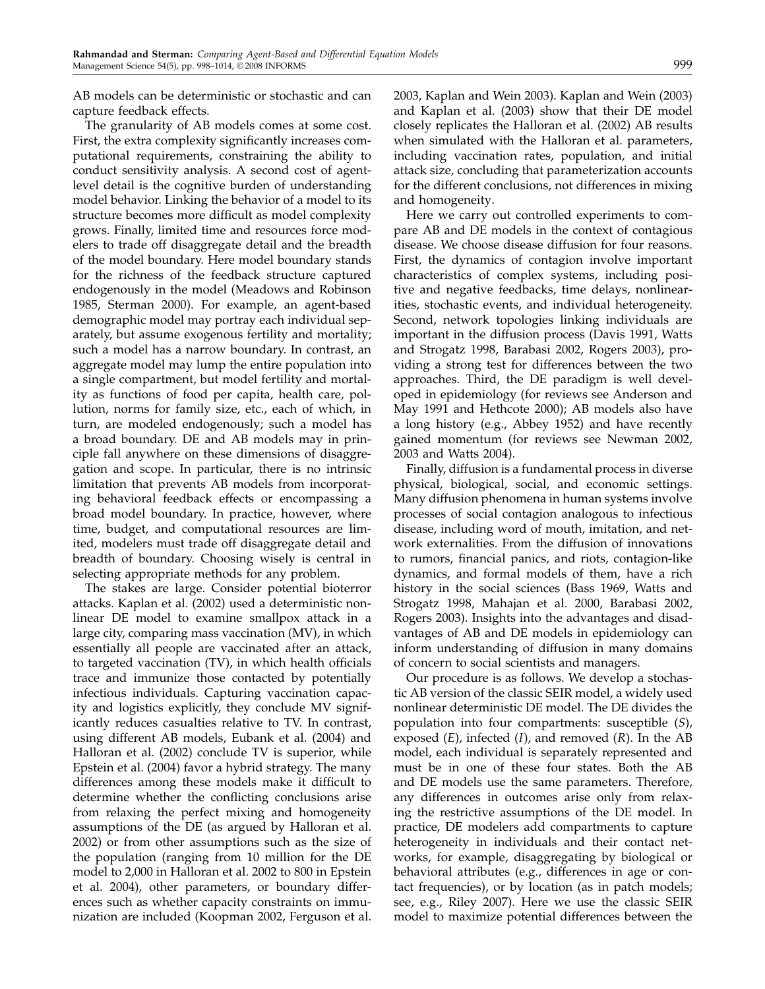AB models can be deterministic or stochastic and can capture feedback effects.

The granularity of AB models comes at some cost. First, the extra complexity significantly increases computational requirements, constraining the ability to conduct sensitivity analysis. A second cost of agentlevel detail is the cognitive burden of understanding model behavior. Linking the behavior of a model to its structure becomes more difficult as model complexity grows. Finally, limited time and resources force modelers to trade off disaggregate detail and the breadth of the model boundary. Here model boundary stands for the richness of the feedback structure captured endogenously in the model (Meadows and Robinson 1985, Sterman 2000). For example, an agent-based demographic model may portray each individual separately, but assume exogenous fertility and mortality; such a model has a narrow boundary. In contrast, an aggregate model may lump the entire population into a single compartment, but model fertility and mortality as functions of food per capita, health care, pollution, norms for family size, etc., each of which, in turn, are modeled endogenously; such a model has a broad boundary. DE and AB models may in principle fall anywhere on these dimensions of disaggregation and scope. In particular, there is no intrinsic limitation that prevents AB models from incorporating behavioral feedback effects or encompassing a broad model boundary. In practice, however, where time, budget, and computational resources are limited, modelers must trade off disaggregate detail and breadth of boundary. Choosing wisely is central in selecting appropriate methods for any problem.

The stakes are large. Consider potential bioterror attacks. Kaplan et al. (2002) used a deterministic nonlinear DE model to examine smallpox attack in a large city, comparing mass vaccination (MV), in which essentially all people are vaccinated after an attack, to targeted vaccination (TV), in which health officials trace and immunize those contacted by potentially infectious individuals. Capturing vaccination capacity and logistics explicitly, they conclude MV significantly reduces casualties relative to TV. In contrast, using different AB models, Eubank et al. (2004) and Halloran et al. (2002) conclude TV is superior, while Epstein et al. (2004) favor a hybrid strategy. The many differences among these models make it difficult to determine whether the conflicting conclusions arise from relaxing the perfect mixing and homogeneity assumptions of the DE (as argued by Halloran et al. 2002) or from other assumptions such as the size of the population (ranging from 10 million for the DE model to 2,000 in Halloran et al. 2002 to 800 in Epstein et al. 2004), other parameters, or boundary differences such as whether capacity constraints on immunization are included (Koopman 2002, Ferguson et al.

2003, Kaplan and Wein 2003). Kaplan and Wein (2003) and Kaplan et al. (2003) show that their DE model closely replicates the Halloran et al. (2002) AB results when simulated with the Halloran et al. parameters, including vaccination rates, population, and initial attack size, concluding that parameterization accounts for the different conclusions, not differences in mixing and homogeneity.

Here we carry out controlled experiments to compare AB and DE models in the context of contagious disease. We choose disease diffusion for four reasons. First, the dynamics of contagion involve important characteristics of complex systems, including positive and negative feedbacks, time delays, nonlinearities, stochastic events, and individual heterogeneity. Second, network topologies linking individuals are important in the diffusion process (Davis 1991, Watts and Strogatz 1998, Barabasi 2002, Rogers 2003), providing a strong test for differences between the two approaches. Third, the DE paradigm is well developed in epidemiology (for reviews see Anderson and May 1991 and Hethcote 2000); AB models also have a long history (e.g., Abbey 1952) and have recently gained momentum (for reviews see Newman 2002, 2003 and Watts 2004).

Finally, diffusion is a fundamental process in diverse physical, biological, social, and economic settings. Many diffusion phenomena in human systems involve processes of social contagion analogous to infectious disease, including word of mouth, imitation, and network externalities. From the diffusion of innovations to rumors, financial panics, and riots, contagion-like dynamics, and formal models of them, have a rich history in the social sciences (Bass 1969, Watts and Strogatz 1998, Mahajan et al. 2000, Barabasi 2002, Rogers 2003). Insights into the advantages and disadvantages of AB and DE models in epidemiology can inform understanding of diffusion in many domains of concern to social scientists and managers.

Our procedure is as follows. We develop a stochastic AB version of the classic SEIR model, a widely used nonlinear deterministic DE model. The DE divides the population into four compartments: susceptible (S), exposed  $(E)$ , infected  $(I)$ , and removed  $(R)$ . In the AB model, each individual is separately represented and must be in one of these four states. Both the AB and DE models use the same parameters. Therefore, any differences in outcomes arise only from relaxing the restrictive assumptions of the DE model. In practice, DE modelers add compartments to capture heterogeneity in individuals and their contact networks, for example, disaggregating by biological or behavioral attributes (e.g., differences in age or contact frequencies), or by location (as in patch models; see, e.g., Riley 2007). Here we use the classic SEIR model to maximize potential differences between the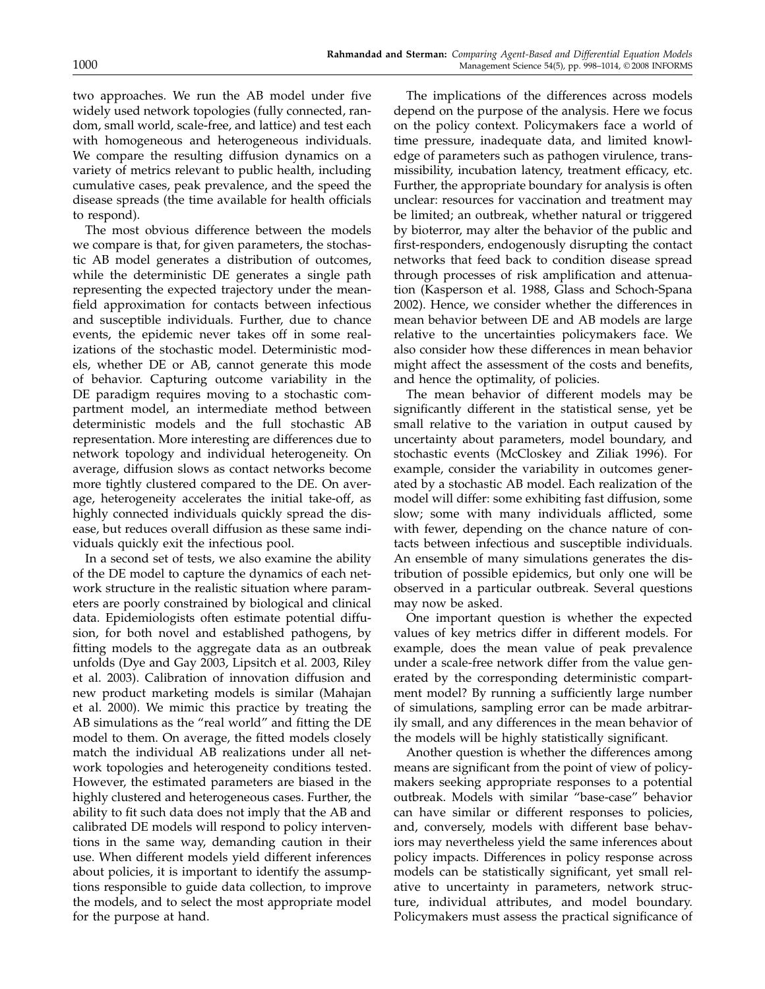two approaches. We run the AB model under five widely used network topologies (fully connected, random, small world, scale-free, and lattice) and test each with homogeneous and heterogeneous individuals. We compare the resulting diffusion dynamics on a variety of metrics relevant to public health, including cumulative cases, peak prevalence, and the speed the disease spreads (the time available for health officials to respond).

The most obvious difference between the models we compare is that, for given parameters, the stochastic AB model generates a distribution of outcomes, while the deterministic DE generates a single path representing the expected trajectory under the meanfield approximation for contacts between infectious and susceptible individuals. Further, due to chance events, the epidemic never takes off in some realizations of the stochastic model. Deterministic models, whether DE or AB, cannot generate this mode of behavior. Capturing outcome variability in the DE paradigm requires moving to a stochastic compartment model, an intermediate method between deterministic models and the full stochastic AB representation. More interesting are differences due to network topology and individual heterogeneity. On average, diffusion slows as contact networks become more tightly clustered compared to the DE. On average, heterogeneity accelerates the initial take-off, as highly connected individuals quickly spread the disease, but reduces overall diffusion as these same individuals quickly exit the infectious pool.

In a second set of tests, we also examine the ability of the DE model to capture the dynamics of each network structure in the realistic situation where parameters are poorly constrained by biological and clinical data. Epidemiologists often estimate potential diffusion, for both novel and established pathogens, by fitting models to the aggregate data as an outbreak unfolds (Dye and Gay 2003, Lipsitch et al. 2003, Riley et al. 2003). Calibration of innovation diffusion and new product marketing models is similar (Mahajan et al. 2000). We mimic this practice by treating the AB simulations as the "real world" and fitting the DE model to them. On average, the fitted models closely match the individual AB realizations under all network topologies and heterogeneity conditions tested. However, the estimated parameters are biased in the highly clustered and heterogeneous cases. Further, the ability to fit such data does not imply that the AB and calibrated DE models will respond to policy interventions in the same way, demanding caution in their use. When different models yield different inferences about policies, it is important to identify the assumptions responsible to guide data collection, to improve the models, and to select the most appropriate model for the purpose at hand.

The implications of the differences across models depend on the purpose of the analysis. Here we focus on the policy context. Policymakers face a world of time pressure, inadequate data, and limited knowledge of parameters such as pathogen virulence, transmissibility, incubation latency, treatment efficacy, etc. Further, the appropriate boundary for analysis is often unclear: resources for vaccination and treatment may be limited; an outbreak, whether natural or triggered by bioterror, may alter the behavior of the public and first-responders, endogenously disrupting the contact networks that feed back to condition disease spread through processes of risk amplification and attenuation (Kasperson et al. 1988, Glass and Schoch-Spana 2002). Hence, we consider whether the differences in mean behavior between DE and AB models are large relative to the uncertainties policymakers face. We also consider how these differences in mean behavior might affect the assessment of the costs and benefits, and hence the optimality, of policies.

The mean behavior of different models may be significantly different in the statistical sense, yet be small relative to the variation in output caused by uncertainty about parameters, model boundary, and stochastic events (McCloskey and Ziliak 1996). For example, consider the variability in outcomes generated by a stochastic AB model. Each realization of the model will differ: some exhibiting fast diffusion, some slow; some with many individuals afflicted, some with fewer, depending on the chance nature of contacts between infectious and susceptible individuals. An ensemble of many simulations generates the distribution of possible epidemics, but only one will be observed in a particular outbreak. Several questions may now be asked.

One important question is whether the expected values of key metrics differ in different models. For example, does the mean value of peak prevalence under a scale-free network differ from the value generated by the corresponding deterministic compartment model? By running a sufficiently large number of simulations, sampling error can be made arbitrarily small, and any differences in the mean behavior of the models will be highly statistically significant.

Another question is whether the differences among means are significant from the point of view of policymakers seeking appropriate responses to a potential outbreak. Models with similar "base-case" behavior can have similar or different responses to policies, and, conversely, models with different base behaviors may nevertheless yield the same inferences about policy impacts. Differences in policy response across models can be statistically significant, yet small relative to uncertainty in parameters, network structure, individual attributes, and model boundary. Policymakers must assess the practical significance of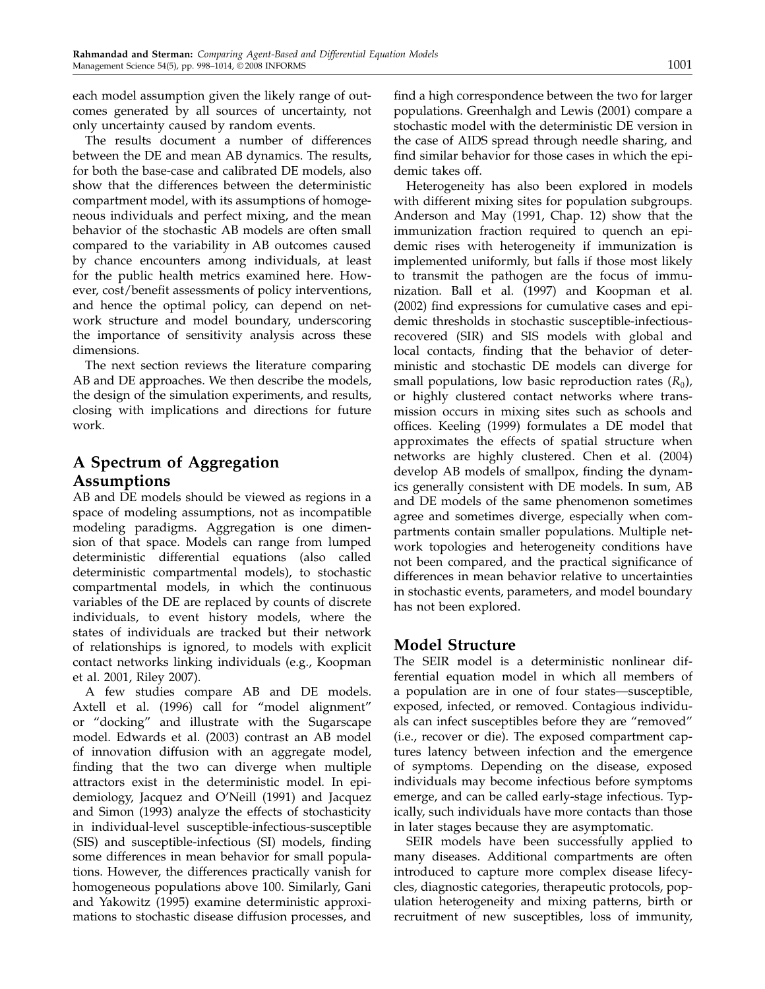each model assumption given the likely range of outcomes generated by all sources of uncertainty, not only uncertainty caused by random events.

The results document a number of differences between the DE and mean AB dynamics. The results, for both the base-case and calibrated DE models, also show that the differences between the deterministic compartment model, with its assumptions of homogeneous individuals and perfect mixing, and the mean behavior of the stochastic AB models are often small compared to the variability in AB outcomes caused by chance encounters among individuals, at least for the public health metrics examined here. However, cost/benefit assessments of policy interventions, and hence the optimal policy, can depend on network structure and model boundary, underscoring the importance of sensitivity analysis across these dimensions.

The next section reviews the literature comparing AB and DE approaches. We then describe the models, the design of the simulation experiments, and results, closing with implications and directions for future work.

## A Spectrum of Aggregation Assumptions

AB and DE models should be viewed as regions in a space of modeling assumptions, not as incompatible modeling paradigms. Aggregation is one dimension of that space. Models can range from lumped deterministic differential equations (also called deterministic compartmental models), to stochastic compartmental models, in which the continuous variables of the DE are replaced by counts of discrete individuals, to event history models, where the states of individuals are tracked but their network of relationships is ignored, to models with explicit contact networks linking individuals (e.g., Koopman et al. 2001, Riley 2007).

A few studies compare AB and DE models. Axtell et al. (1996) call for "model alignment" or "docking" and illustrate with the Sugarscape model. Edwards et al. (2003) contrast an AB model of innovation diffusion with an aggregate model, finding that the two can diverge when multiple attractors exist in the deterministic model. In epidemiology, Jacquez and O'Neill (1991) and Jacquez and Simon (1993) analyze the effects of stochasticity in individual-level susceptible-infectious-susceptible (SIS) and susceptible-infectious (SI) models, finding some differences in mean behavior for small populations. However, the differences practically vanish for homogeneous populations above 100. Similarly, Gani and Yakowitz (1995) examine deterministic approximations to stochastic disease diffusion processes, and

find a high correspondence between the two for larger populations. Greenhalgh and Lewis (2001) compare a stochastic model with the deterministic DE version in the case of AIDS spread through needle sharing, and find similar behavior for those cases in which the epidemic takes off.

Heterogeneity has also been explored in models with different mixing sites for population subgroups. Anderson and May (1991, Chap. 12) show that the immunization fraction required to quench an epidemic rises with heterogeneity if immunization is implemented uniformly, but falls if those most likely to transmit the pathogen are the focus of immunization. Ball et al. (1997) and Koopman et al. (2002) find expressions for cumulative cases and epidemic thresholds in stochastic susceptible-infectiousrecovered (SIR) and SIS models with global and local contacts, finding that the behavior of deterministic and stochastic DE models can diverge for small populations, low basic reproduction rates  $(R_0)$ , or highly clustered contact networks where transmission occurs in mixing sites such as schools and offices. Keeling (1999) formulates a DE model that approximates the effects of spatial structure when networks are highly clustered. Chen et al. (2004) develop AB models of smallpox, finding the dynamics generally consistent with DE models. In sum, AB and DE models of the same phenomenon sometimes agree and sometimes diverge, especially when compartments contain smaller populations. Multiple network topologies and heterogeneity conditions have not been compared, and the practical significance of differences in mean behavior relative to uncertainties in stochastic events, parameters, and model boundary has not been explored.

## Model Structure

The SEIR model is a deterministic nonlinear differential equation model in which all members of a population are in one of four states—susceptible, exposed, infected, or removed. Contagious individuals can infect susceptibles before they are "removed" (i.e., recover or die). The exposed compartment captures latency between infection and the emergence of symptoms. Depending on the disease, exposed individuals may become infectious before symptoms emerge, and can be called early-stage infectious. Typically, such individuals have more contacts than those in later stages because they are asymptomatic.

SEIR models have been successfully applied to many diseases. Additional compartments are often introduced to capture more complex disease lifecycles, diagnostic categories, therapeutic protocols, population heterogeneity and mixing patterns, birth or recruitment of new susceptibles, loss of immunity,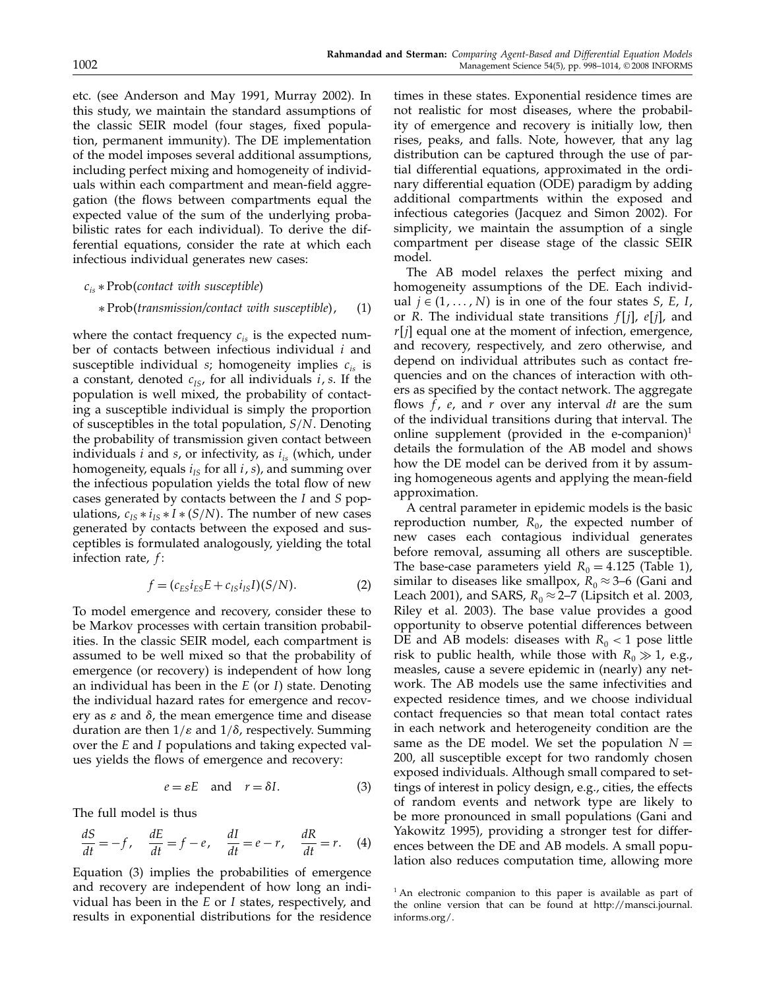etc. (see Anderson and May 1991, Murray 2002). In this study, we maintain the standard assumptions of the classic SEIR model (four stages, fixed population, permanent immunity). The DE implementation of the model imposes several additional assumptions, including perfect mixing and homogeneity of individuals within each compartment and mean-field aggregation (the flows between compartments equal the expected value of the sum of the underlying probabilistic rates for each individual). To derive the differential equations, consider the rate at which each infectious individual generates new cases:

$$
c_{is} * \text{Prob}(contact \ with \ susceptible)
$$

#### ∗ Probtransmission/contact with susceptible (1)

where the contact frequency  $c_{is}$  is the expected number of contacts between infectious individual  $i$  and susceptible individual s; homogeneity implies  $c_{is}$  is a constant, denoted  $c_{IS}$ , for all individuals *i*, *s*. If the population is well mixed, the probability of contacting a susceptible individual is simply the proportion of susceptibles in the total population,  $S/N$ . Denoting the probability of transmission given contact between individuals *i* and *s*, or infectivity, as  $i_{is}$  (which, under homogeneity, equals  $i_{IS}$  for all  $i$  , s), and summing over the infectious population yields the total flow of new cases generated by contacts between the I and S populations,  $c_{IS} * i_{IS} * I * (S/N)$ . The number of new cases generated by contacts between the exposed and susceptibles is formulated analogously, yielding the total infection rate,  $f$ :

$$
f = (c_{ES}i_{ES}E + c_{IS}i_{IS}I)(S/N). \tag{2}
$$

To model emergence and recovery, consider these to be Markov processes with certain transition probabilities. In the classic SEIR model, each compartment is assumed to be well mixed so that the probability of emergence (or recovery) is independent of how long an individual has been in the  $E$  (or  $I$ ) state. Denoting the individual hazard rates for emergence and recovery as  $\varepsilon$  and  $\delta$ , the mean emergence time and disease duration are then  $1/\varepsilon$  and  $1/\delta$ , respectively. Summing over the E and I populations and taking expected values yields the flows of emergence and recovery:

$$
e = \varepsilon E \quad \text{and} \quad r = \delta I. \tag{3}
$$

The full model is thus

$$
\frac{dS}{dt} = -f, \quad \frac{dE}{dt} = f - e, \quad \frac{dI}{dt} = e - r, \quad \frac{dR}{dt} = r.
$$
 (4)

Equation (3) implies the probabilities of emergence and recovery are independent of how long an individual has been in the  $E$  or  $I$  states, respectively, and results in exponential distributions for the residence

times in these states. Exponential residence times are not realistic for most diseases, where the probability of emergence and recovery is initially low, then rises, peaks, and falls. Note, however, that any lag distribution can be captured through the use of partial differential equations, approximated in the ordinary differential equation (ODE) paradigm by adding additional compartments within the exposed and infectious categories (Jacquez and Simon 2002). For simplicity, we maintain the assumption of a single compartment per disease stage of the classic SEIR model.

The AB model relaxes the perfect mixing and homogeneity assumptions of the DE. Each individual *j* ∈  $(1, ..., N)$  is in one of the four states *S*, *E*, *I*, or R. The individual state transitions  $f[j]$ ,  $e[j]$ , and  $r[i]$  equal one at the moment of infection, emergence, and recovery, respectively, and zero otherwise, and depend on individual attributes such as contact frequencies and on the chances of interaction with others as specified by the contact network. The aggregate flows  $f$ ,  $e$ , and  $r$  over any interval dt are the sum of the individual transitions during that interval. The online supplement (provided in the e-companion) $<sup>1</sup>$ </sup> details the formulation of the AB model and shows how the DE model can be derived from it by assuming homogeneous agents and applying the mean-field approximation.

A central parameter in epidemic models is the basic reproduction number,  $R_0$ , the expected number of new cases each contagious individual generates before removal, assuming all others are susceptible. The base-case parameters yield  $R_0 = 4.125$  (Table 1), similar to diseases like smallpox,  $R_0 \approx 3-6$  (Gani and Leach 2001), and SARS,  $R_0 \approx 2-7$  (Lipsitch et al. 2003, Riley et al. 2003). The base value provides a good opportunity to observe potential differences between DE and AB models: diseases with  $R_0 < 1$  pose little risk to public health, while those with  $R_0 \gg 1$ , e.g., measles, cause a severe epidemic in (nearly) any network. The AB models use the same infectivities and expected residence times, and we choose individual contact frequencies so that mean total contact rates in each network and heterogeneity condition are the same as the DE model. We set the population  $N =$ 200, all susceptible except for two randomly chosen exposed individuals. Although small compared to settings of interest in policy design, e.g., cities, the effects of random events and network type are likely to be more pronounced in small populations (Gani and Yakowitz 1995), providing a stronger test for differences between the DE and AB models. A small population also reduces computation time, allowing more

<sup>&</sup>lt;sup>1</sup> An electronic companion to this paper is available as part of the online version that can be found at http://mansci.journal. informs.org/.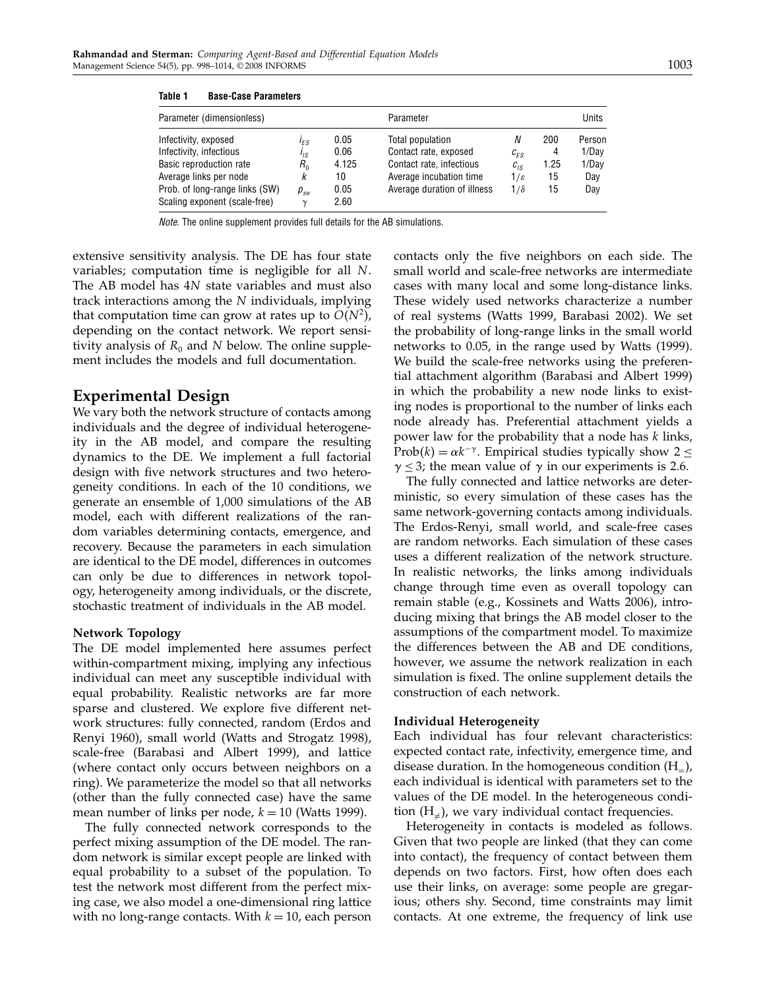| Parameter (dimensionless)      |                             |       | Parameter                   | Units                       |      |        |
|--------------------------------|-----------------------------|-------|-----------------------------|-----------------------------|------|--------|
| Infectivity, exposed           | I <sub>FS</sub>             | 0.05  | Total population            | N                           | 200  | Person |
| Infectivity, infectious        | l <sub>IS</sub>             | 0.06  | Contact rate, exposed       | $c_{FS}$                    | 4    | 1/Dav  |
| Basic reproduction rate        | $R_{0}$                     | 4.125 | Contact rate, infectious    | $c_{\scriptscriptstyle IS}$ | 1.25 | 1/Day  |
| Average links per node         | ĸ                           | 10    | Average incubation time     | 1/ε                         | 15   | Day    |
| Prob. of long-range links (SW) | $p_{\scriptscriptstyle sw}$ | 0.05  | Average duration of illness | $1/\delta$                  | 15   | Day    |
| Scaling exponent (scale-free)  | $\gamma$                    | 2.60  |                             |                             |      |        |

Note. The online supplement provides full details for the AB simulations.

extensive sensitivity analysis. The DE has four state variables; computation time is negligible for all N. The AB model has 4N state variables and must also track interactions among the N individuals, implying that computation time can grow at rates up to  $O(N^2)$ , depending on the contact network. We report sensitivity analysis of  $R_0$  and N below. The online supplement includes the models and full documentation.

## Experimental Design

We vary both the network structure of contacts among individuals and the degree of individual heterogeneity in the AB model, and compare the resulting dynamics to the DE. We implement a full factorial design with five network structures and two heterogeneity conditions. In each of the 10 conditions, we generate an ensemble of 1,000 simulations of the AB model, each with different realizations of the random variables determining contacts, emergence, and recovery. Because the parameters in each simulation are identical to the DE model, differences in outcomes can only be due to differences in network topology, heterogeneity among individuals, or the discrete, stochastic treatment of individuals in the AB model.

#### Network Topology

The DE model implemented here assumes perfect within-compartment mixing, implying any infectious individual can meet any susceptible individual with equal probability. Realistic networks are far more sparse and clustered. We explore five different network structures: fully connected, random (Erdos and Renyi 1960), small world (Watts and Strogatz 1998), scale-free (Barabasi and Albert 1999), and lattice (where contact only occurs between neighbors on a ring). We parameterize the model so that all networks (other than the fully connected case) have the same mean number of links per node,  $k = 10$  (Watts 1999).

The fully connected network corresponds to the perfect mixing assumption of the DE model. The random network is similar except people are linked with equal probability to a subset of the population. To test the network most different from the perfect mixing case, we also model a one-dimensional ring lattice with no long-range contacts. With  $k = 10$ , each person

contacts only the five neighbors on each side. The small world and scale-free networks are intermediate cases with many local and some long-distance links. These widely used networks characterize a number of real systems (Watts 1999, Barabasi 2002). We set the probability of long-range links in the small world networks to 0.05, in the range used by Watts (1999). We build the scale-free networks using the preferential attachment algorithm (Barabasi and Albert 1999) in which the probability a new node links to existing nodes is proportional to the number of links each node already has. Preferential attachment yields a power law for the probability that a node has k links, Prob(k) =  $\alpha k^{-\gamma}$ . Empirical studies typically show 2 ≤  $\gamma \leq 3$ ; the mean value of  $\gamma$  in our experiments is 2.6.

The fully connected and lattice networks are deterministic, so every simulation of these cases has the same network-governing contacts among individuals. The Erdos-Renyi, small world, and scale-free cases are random networks. Each simulation of these cases uses a different realization of the network structure. In realistic networks, the links among individuals change through time even as overall topology can remain stable (e.g., Kossinets and Watts 2006), introducing mixing that brings the AB model closer to the assumptions of the compartment model. To maximize the differences between the AB and DE conditions, however, we assume the network realization in each simulation is fixed. The online supplement details the construction of each network.

#### Individual Heterogeneity

Each individual has four relevant characteristics: expected contact rate, infectivity, emergence time, and disease duration. In the homogeneous condition  $(H_=)$ , each individual is identical with parameters set to the values of the DE model. In the heterogeneous condition  $(H_{\neq})$ , we vary individual contact frequencies.

Heterogeneity in contacts is modeled as follows. Given that two people are linked (that they can come into contact), the frequency of contact between them depends on two factors. First, how often does each use their links, on average: some people are gregarious; others shy. Second, time constraints may limit contacts. At one extreme, the frequency of link use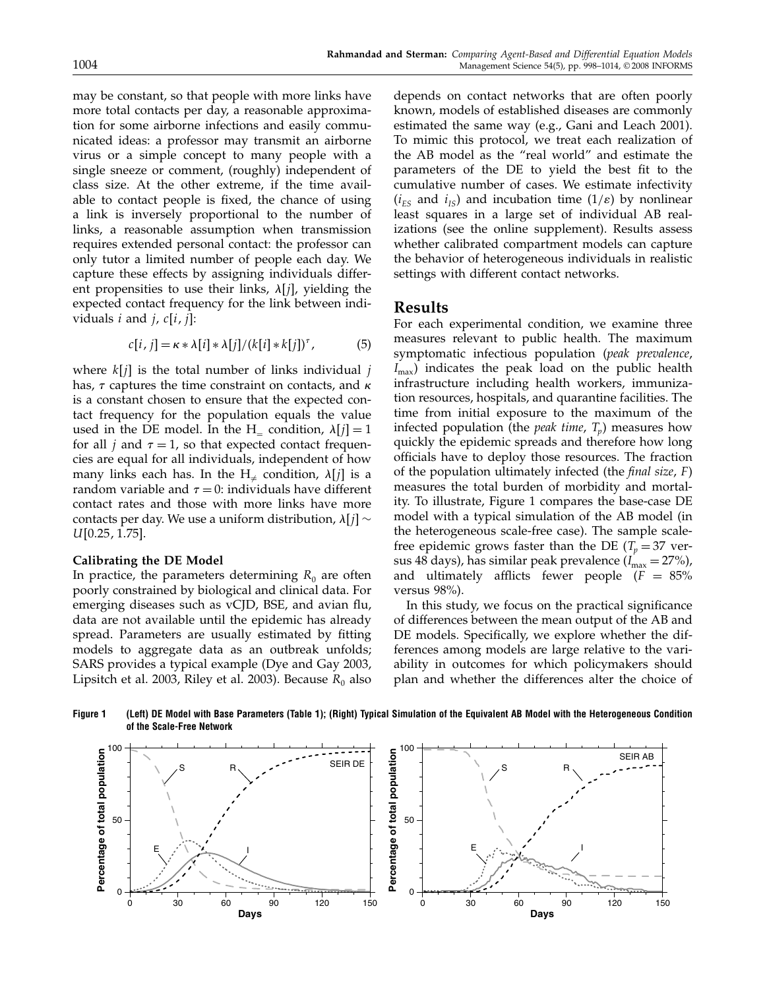may be constant, so that people with more links have more total contacts per day, a reasonable approximation for some airborne infections and easily communicated ideas: a professor may transmit an airborne virus or a simple concept to many people with a single sneeze or comment, (roughly) independent of class size. At the other extreme, if the time available to contact people is fixed, the chance of using a link is inversely proportional to the number of links, a reasonable assumption when transmission requires extended personal contact: the professor can only tutor a limited number of people each day. We capture these effects by assigning individuals different propensities to use their links,  $\lambda[j]$ , yielding the expected contact frequency for the link between individuals  $i$  and  $j$ ,  $c[i, j]$ :

$$
c[i, j] = \kappa * \lambda[i] * \lambda[j]/(k[i] * k[j])^{\tau},
$$
 (5)

where  $k[j]$  is the total number of links individual j has,  $\tau$  captures the time constraint on contacts, and  $\kappa$ is a constant chosen to ensure that the expected contact frequency for the population equals the value used in the DE model. In the H<sub>-</sub> condition,  $\lambda[i] = 1$ for all *j* and  $\tau = 1$ , so that expected contact frequencies are equal for all individuals, independent of how many links each has. In the  $H_{\neq}$  condition,  $\lambda[j]$  is a random variable and  $\tau = 0$ : individuals have different contact rates and those with more links have more contacts per day. We use a uniform distribution,  $\lambda[j]$  ∼  $U[0.25, 1.75]$ .

#### Calibrating the DE Model

In practice, the parameters determining  $R_0$  are often poorly constrained by biological and clinical data. For emerging diseases such as vCJD, BSE, and avian flu, data are not available until the epidemic has already spread. Parameters are usually estimated by fitting models to aggregate data as an outbreak unfolds; SARS provides a typical example (Dye and Gay 2003, Lipsitch et al. 2003, Riley et al. 2003). Because  $R_0$  also

depends on contact networks that are often poorly known, models of established diseases are commonly estimated the same way (e.g., Gani and Leach 2001). To mimic this protocol, we treat each realization of the AB model as the "real world" and estimate the parameters of the DE to yield the best fit to the cumulative number of cases. We estimate infectivity  $(i_{ES}$  and  $i_{IS}$ ) and incubation time  $(1/\varepsilon)$  by nonlinear least squares in a large set of individual AB realizations (see the online supplement). Results assess whether calibrated compartment models can capture the behavior of heterogeneous individuals in realistic settings with different contact networks.

## Results

For each experimental condition, we examine three measures relevant to public health. The maximum symptomatic infectious population (peak prevalence,  $I_{\text{max}}$ ) indicates the peak load on the public health infrastructure including health workers, immunization resources, hospitals, and quarantine facilities. The time from initial exposure to the maximum of the infected population (the *peak time*,  $T_p$ ) measures how quickly the epidemic spreads and therefore how long officials have to deploy those resources. The fraction of the population ultimately infected (the *final size*,  $F$ ) measures the total burden of morbidity and mortality. To illustrate, Figure 1 compares the base-case DE model with a typical simulation of the AB model (in the heterogeneous scale-free case). The sample scalefree epidemic grows faster than the DE ( $T_p = 37$  versus 48 days), has similar peak prevalence  $(I<sub>max</sub> = 27%)$ , and ultimately afflicts fewer people  $(F = 85\%)$ versus 98%).

In this study, we focus on the practical significance of differences between the mean output of the AB and DE models. Specifically, we explore whether the differences among models are large relative to the variability in outcomes for which policymakers should plan and whether the differences alter the choice of



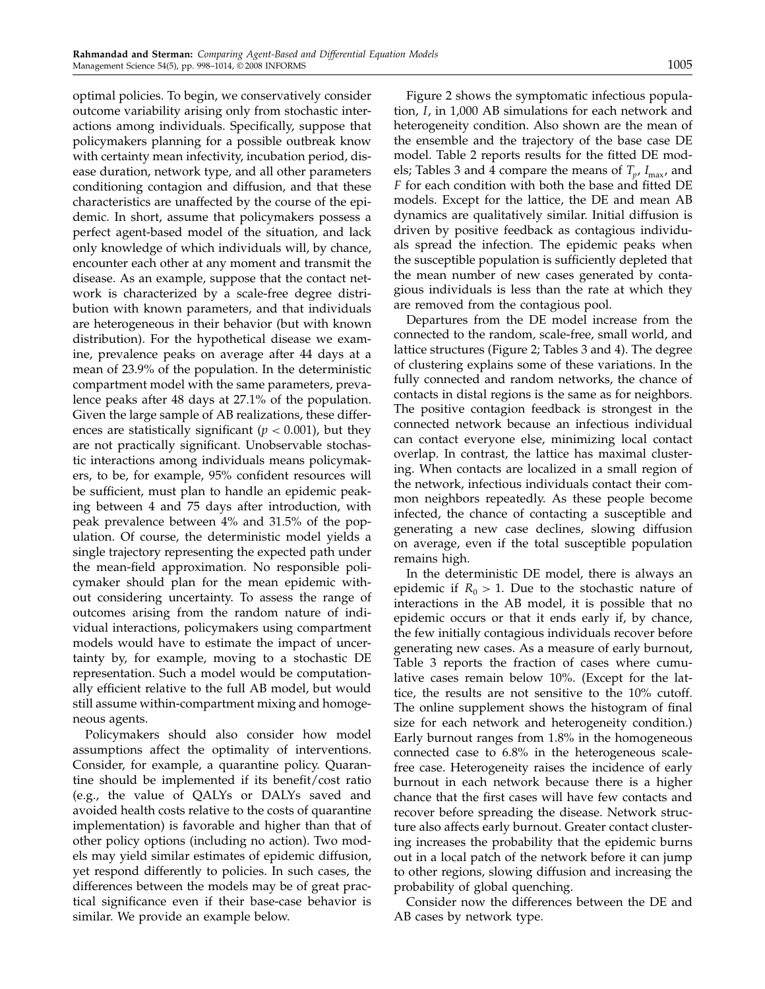optimal policies. To begin, we conservatively consider outcome variability arising only from stochastic interactions among individuals. Specifically, suppose that policymakers planning for a possible outbreak know with certainty mean infectivity, incubation period, disease duration, network type, and all other parameters conditioning contagion and diffusion, and that these characteristics are unaffected by the course of the epidemic. In short, assume that policymakers possess a perfect agent-based model of the situation, and lack only knowledge of which individuals will, by chance, encounter each other at any moment and transmit the disease. As an example, suppose that the contact network is characterized by a scale-free degree distribution with known parameters, and that individuals are heterogeneous in their behavior (but with known distribution). For the hypothetical disease we examine, prevalence peaks on average after 44 days at a mean of 23.9% of the population. In the deterministic compartment model with the same parameters, prevalence peaks after 48 days at 27.1% of the population. Given the large sample of AB realizations, these differences are statistically significant ( $p < 0.001$ ), but they are not practically significant. Unobservable stochastic interactions among individuals means policymakers, to be, for example, 95% confident resources will be sufficient, must plan to handle an epidemic peaking between 4 and 75 days after introduction, with peak prevalence between 4% and 31.5% of the population. Of course, the deterministic model yields a single trajectory representing the expected path under the mean-field approximation. No responsible policymaker should plan for the mean epidemic without considering uncertainty. To assess the range of outcomes arising from the random nature of individual interactions, policymakers using compartment models would have to estimate the impact of uncertainty by, for example, moving to a stochastic DE representation. Such a model would be computationally efficient relative to the full AB model, but would still assume within-compartment mixing and homogeneous agents.

Policymakers should also consider how model assumptions affect the optimality of interventions. Consider, for example, a quarantine policy. Quarantine should be implemented if its benefit/cost ratio (e.g., the value of QALYs or DALYs saved and avoided health costs relative to the costs of quarantine implementation) is favorable and higher than that of other policy options (including no action). Two models may yield similar estimates of epidemic diffusion, yet respond differently to policies. In such cases, the differences between the models may be of great practical significance even if their base-case behavior is similar. We provide an example below.

Figure 2 shows the symptomatic infectious population, I, in 1,000 AB simulations for each network and heterogeneity condition. Also shown are the mean of the ensemble and the trajectory of the base case DE model. Table 2 reports results for the fitted DE models; Tables 3 and 4 compare the means of  $T_p$ ,  $I_{\text{max}}$ , and F for each condition with both the base and fitted DE models. Except for the lattice, the DE and mean AB dynamics are qualitatively similar. Initial diffusion is driven by positive feedback as contagious individuals spread the infection. The epidemic peaks when the susceptible population is sufficiently depleted that the mean number of new cases generated by contagious individuals is less than the rate at which they are removed from the contagious pool.

Departures from the DE model increase from the connected to the random, scale-free, small world, and lattice structures (Figure 2; Tables 3 and 4). The degree of clustering explains some of these variations. In the fully connected and random networks, the chance of contacts in distal regions is the same as for neighbors. The positive contagion feedback is strongest in the connected network because an infectious individual can contact everyone else, minimizing local contact overlap. In contrast, the lattice has maximal clustering. When contacts are localized in a small region of the network, infectious individuals contact their common neighbors repeatedly. As these people become infected, the chance of contacting a susceptible and generating a new case declines, slowing diffusion on average, even if the total susceptible population remains high.

In the deterministic DE model, there is always an epidemic if  $R_0 > 1$ . Due to the stochastic nature of interactions in the AB model, it is possible that no epidemic occurs or that it ends early if, by chance, the few initially contagious individuals recover before generating new cases. As a measure of early burnout, Table 3 reports the fraction of cases where cumulative cases remain below 10%. (Except for the lattice, the results are not sensitive to the 10% cutoff. The online supplement shows the histogram of final size for each network and heterogeneity condition.) Early burnout ranges from 1.8% in the homogeneous connected case to 6.8% in the heterogeneous scalefree case. Heterogeneity raises the incidence of early burnout in each network because there is a higher chance that the first cases will have few contacts and recover before spreading the disease. Network structure also affects early burnout. Greater contact clustering increases the probability that the epidemic burns out in a local patch of the network before it can jump to other regions, slowing diffusion and increasing the probability of global quenching.

Consider now the differences between the DE and AB cases by network type.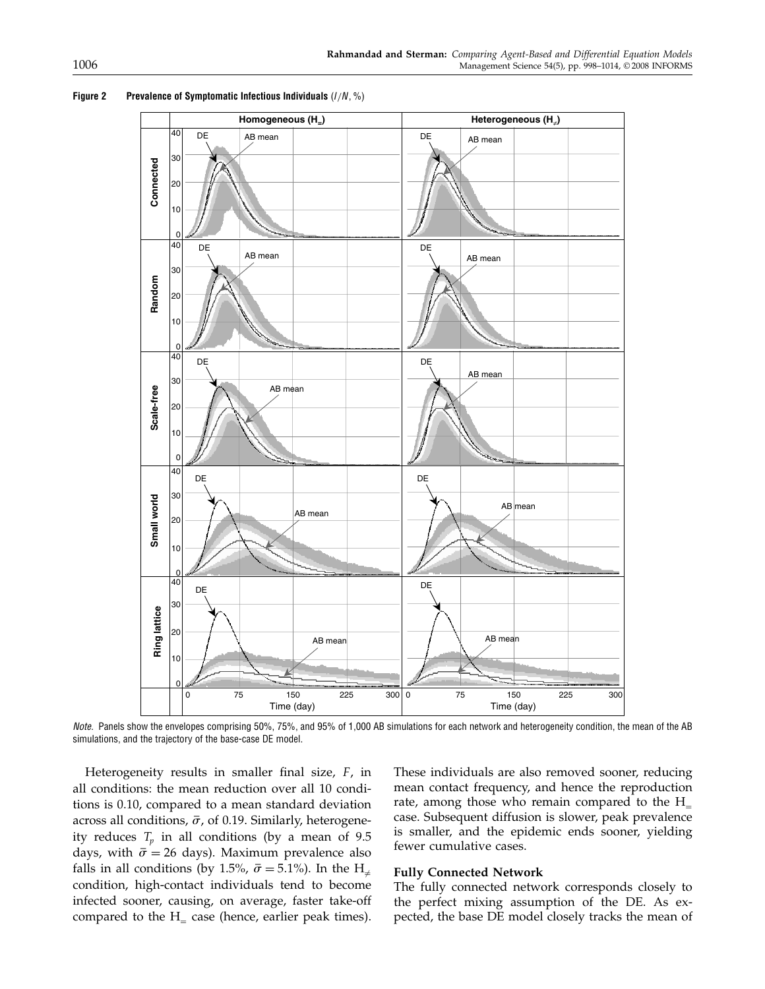

#### Figure 2 Prevalence of Symptomatic Infectious Individuals  $(I/N, %)$

Note. Panels show the envelopes comprising 50%, 75%, and 95% of 1,000 AB simulations for each network and heterogeneity condition, the mean of the AB simulations, and the trajectory of the base-case DE model.

Heterogeneity results in smaller final size,  $F$ , in all conditions: the mean reduction over all 10 conditions is 0.10, compared to a mean standard deviation across all conditions,  $\bar{\sigma}$ , of 0.19. Similarly, heterogeneity reduces  $T_p$  in all conditions (by a mean of 9.5 days, with  $\bar{\sigma} = 26$  days). Maximum prevalence also falls in all conditions (by 1.5%,  $\bar{\sigma} = 5.1$ %). In the  ${\rm H_{\neq}}$ condition, high-contact individuals tend to become infected sooner, causing, on average, faster take-off compared to the  $H_$  case (hence, earlier peak times).

These individuals are also removed sooner, reducing mean contact frequency, and hence the reproduction rate, among those who remain compared to the  $H_$ case. Subsequent diffusion is slower, peak prevalence is smaller, and the epidemic ends sooner, yielding fewer cumulative cases.

#### Fully Connected Network

The fully connected network corresponds closely to the perfect mixing assumption of the DE. As expected, the base DE model closely tracks the mean of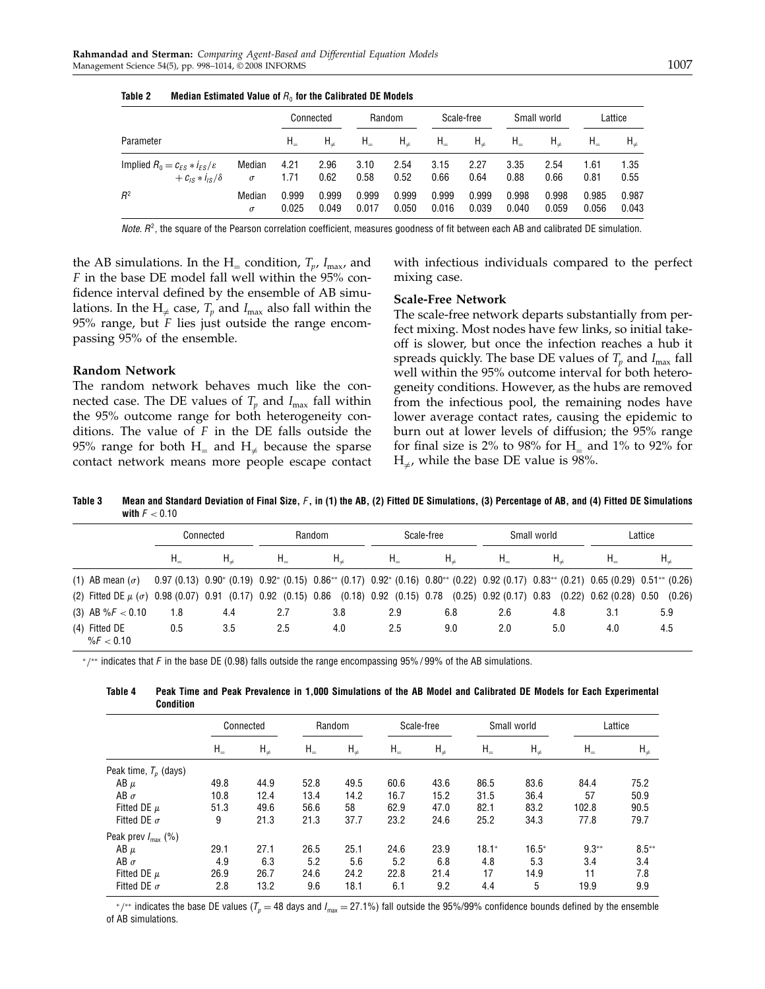|                                             |          | Connected |         | Random  |            | Scale-free |         | Small world |         | Lattice |         |
|---------------------------------------------|----------|-----------|---------|---------|------------|------------|---------|-------------|---------|---------|---------|
| Parameter                                   |          | $H_{-}$   | $H_{+}$ | $H_{-}$ | $H_{\neq}$ | $H_{-}$    | $H_{+}$ | $H_{-}$     | $H_{+}$ | $H_{-}$ | $H_{+}$ |
| Implied $R_0 = c_{FS} * i_{FS}/\varepsilon$ | Median   | 4.21      | 2.96    | 3.10    | 2.54       | 3.15       | 2.27    | 3.35        | 2.54    | 1.61    | 1.35    |
| $+C_{1S}$ * $I_{1S}/\delta$                 | $\sigma$ | 1.71      | 0.62    | 0.58    | 0.52       | 0.66       | 0.64    | 0.88        | 0.66    | 0.81    | 0.55    |
| $R^2$                                       | Median   | 0.999     | 0.999   | 0.999   | 0.999      | 0.999      | 0.999   | 0.998       | 0.998   | 0.985   | 0.987   |
|                                             | $\sigma$ | 0.025     | 0.049   | 0.017   | 0.050      | 0.016      | 0.039   | 0.040       | 0.059   | 0.056   | 0.043   |

Table 2 Median Estimated Value of  $R_0$  for the Calibrated DE Models

Note.  $R^2$ , the square of the Pearson correlation coefficient, measures goodness of fit between each AB and calibrated DE simulation.

the AB simulations. In the H<sub>=</sub> condition,  $T_p$ ,  $I_{\text{max}}$ , and F in the base DE model fall well within the 95% confidence interval defined by the ensemble of AB simulations. In the H<sub> $\neq$ </sub> case,  $T_p$  and  $I_{\text{max}}$  also fall within the 95% range, but  $F$  lies just outside the range encompassing 95% of the ensemble.

#### Random Network

The random network behaves much like the connected case. The DE values of  $T_p$  and  $I_{\text{max}}$  fall within the 95% outcome range for both heterogeneity conditions. The value of  $F$  in the DE falls outside the 95% range for both  $H_$  and  $H_+$  because the sparse contact network means more people escape contact with infectious individuals compared to the perfect mixing case.

#### Scale-Free Network

The scale-free network departs substantially from perfect mixing. Most nodes have few links, so initial takeoff is slower, but once the infection reaches a hub it spreads quickly. The base DE values of  $T_p$  and  $I_{\text{max}}$  fall well within the 95% outcome interval for both heterogeneity conditions. However, as the hubs are removed from the infectious pool, the remaining nodes have lower average contact rates, causing the epidemic to burn out at lower levels of diffusion; the 95% range for final size is 2% to 98% for  $H$ <sub>=</sub> and 1% to 92% for  $\rm{H}_{\neq}$ , while the base DE value is 98%.

Table 3 Mean and Standard Deviation of Final Size, F, in (1) the AB, (2) Fitted DE Simulations, (3) Percentage of AB, and (4) Fitted DE Simulations with  $F < 0.10$ 

|               |                        | Connected |     | Random  |                                                                                                                                                                                        | Scale-free |         |         | Small world | Lattice                     |            |
|---------------|------------------------|-----------|-----|---------|----------------------------------------------------------------------------------------------------------------------------------------------------------------------------------------|------------|---------|---------|-------------|-----------------------------|------------|
|               |                        | $H_{-}$   |     | $H_{-}$ | $H_{+}$                                                                                                                                                                                | $H_{-}$    | $H_{+}$ | $H_{-}$ | $H_{+}$     |                             | $H_{\neq}$ |
|               | (1) AB mean $(\sigma)$ |           |     |         | $0.97(0.13)$ $0.90^*$ $(0.19)$ $0.92^*$ $(0.15)$ $0.86^{**}$ $(0.17)$ $0.92^*$ $(0.16)$ $0.80^{**}$ $(0.22)$ $0.92$ $(0.17)$ $0.83^{**}$ $(0.21)$ $0.65$ $(0.29)$ $0.51^{**}$ $(0.26)$ |            |         |         |             |                             |            |
|               |                        |           |     |         | (2) Fitted DE $\mu$ ( $\sigma$ ) 0.98 (0.07) 0.91 (0.17) 0.92 (0.15) 0.86 (0.18) 0.92 (0.15) 0.78 (0.25) 0.92 (0.17) 0.83                                                              |            |         |         |             | $(0.22)$ 0.62 $(0.28)$ 0.50 | (0.26)     |
|               | (3) AB % $F < 0.10$    | 1.8       | 4.4 | 2.7     | 3.8                                                                                                                                                                                    | 2.9        | 6.8     | 2.6     | 4.8         | 3.1                         | 5.9        |
| (4) Fitted DE | %F < 0.10              | 0.5       | 3.5 | 2.5     | 4.0                                                                                                                                                                                    | 2.5        | 9.0     | 2.0     | 5.0         | 4.0                         | 4.5        |

<sup>∗</sup>/∗∗ indicates that F in the base DE (0.98) falls outside the range encompassing 95% / 99% of the AB simulations.

| vullulull                      |              |            |              |            |              |            |              |             |              |            |  |
|--------------------------------|--------------|------------|--------------|------------|--------------|------------|--------------|-------------|--------------|------------|--|
|                                |              | Connected  |              | Random     |              | Scale-free |              | Small world |              | Lattice    |  |
|                                | $H_{\equiv}$ | $H_{\neq}$ | $H_{\equiv}$ | $H_{\neq}$ | $H_{\equiv}$ | $H_{\neq}$ | $H_{\equiv}$ | $H_{\neq}$  | $H_{\equiv}$ | $H_{\neq}$ |  |
| Peak time, $T_p$ (days)        |              |            |              |            |              |            |              |             |              |            |  |
| AB $\mu$                       | 49.8         | 44.9       | 52.8         | 49.5       | 60.6         | 43.6       | 86.5         | 83.6        | 84.4         | 75.2       |  |
| AB $\sigma$                    | 10.8         | 12.4       | 13.4         | 14.2       | 16.7         | 15.2       | 31.5         | 36.4        | 57           | 50.9       |  |
| Fitted DE $\mu$                | 51.3         | 49.6       | 56.6         | 58         | 62.9         | 47.0       | 82.1         | 83.2        | 102.8        | 90.5       |  |
| Fitted DE $\sigma$             | 9            | 21.3       | 21.3         | 37.7       | 23.2         | 24.6       | 25.2         | 34.3        | 77.8         | 79.7       |  |
| Peak prev $I_{\text{max}}$ (%) |              |            |              |            |              |            |              |             |              |            |  |
| AB $\mu$                       | 29.1         | 27.1       | 26.5         | 25.1       | 24.6         | 23.9       | $18.1*$      | $16.5*$     | $9.3**$      | $8.5**$    |  |
| AB $\sigma$                    | 4.9          | 6.3        | 5.2          | 5.6        | 5.2          | 6.8        | 4.8          | 5.3         | 3.4          | 3.4        |  |
| Fitted DE $\mu$                | 26.9         | 26.7       | 24.6         | 24.2       | 22.8         | 21.4       | 17           | 14.9        | 11           | 7.8        |  |
| Fitted DE $\sigma$             | 2.8          | 13.2       | 9.6          | 18.1       | 6.1          | 9.2        | 4.4          | 5           | 19.9         | 9.9        |  |

Table 4 Peak Time and Peak Prevalence in 1,000 Simulations of the AB Model and Calibrated DE Models for Each Experimental Condition

 $*$ /\*\* indicates the base DE values ( $T_p$  = 48 days and  $I_{\rm max}$  = 27.1%) fall outside the 95%/99% confidence bounds defined by the ensemble of AB simulations.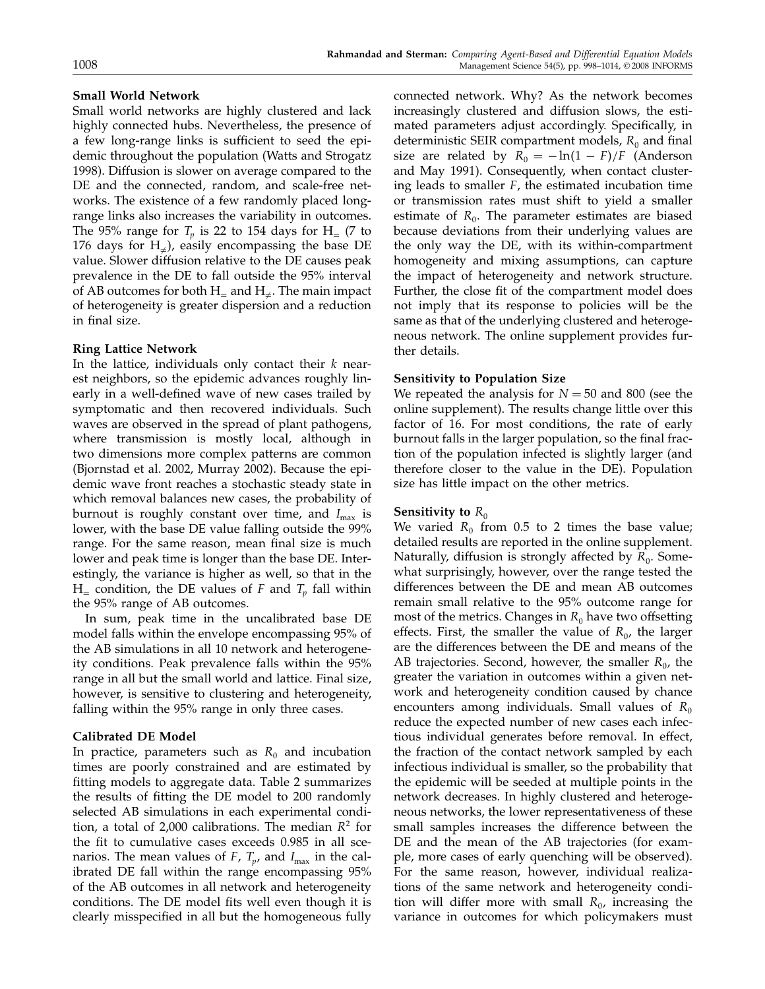#### Small World Network

Small world networks are highly clustered and lack highly connected hubs. Nevertheless, the presence of a few long-range links is sufficient to seed the epidemic throughout the population (Watts and Strogatz 1998). Diffusion is slower on average compared to the DE and the connected, random, and scale-free networks. The existence of a few randomly placed longrange links also increases the variability in outcomes. The 95% range for  $T_p$  is 22 to 154 days for H<sub>=</sub> (7 to 176 days for  $H_{\neq}$ ), easily encompassing the base DE value. Slower diffusion relative to the DE causes peak prevalence in the DE to fall outside the 95% interval of AB outcomes for both  $H$ <sub>=</sub> and  $H$ <sub>≠</sub>. The main impact of heterogeneity is greater dispersion and a reduction in final size.

#### Ring Lattice Network

In the lattice, individuals only contact their  $k$  nearest neighbors, so the epidemic advances roughly linearly in a well-defined wave of new cases trailed by symptomatic and then recovered individuals. Such waves are observed in the spread of plant pathogens, where transmission is mostly local, although in two dimensions more complex patterns are common (Bjornstad et al. 2002, Murray 2002). Because the epidemic wave front reaches a stochastic steady state in which removal balances new cases, the probability of burnout is roughly constant over time, and  $I_{\text{max}}$  is lower, with the base DE value falling outside the 99% range. For the same reason, mean final size is much lower and peak time is longer than the base DE. Interestingly, the variance is higher as well, so that in the  $H_$  condition, the DE values of F and  $T_p$  fall within the 95% range of AB outcomes.

In sum, peak time in the uncalibrated base DE model falls within the envelope encompassing 95% of the AB simulations in all 10 network and heterogeneity conditions. Peak prevalence falls within the 95% range in all but the small world and lattice. Final size, however, is sensitive to clustering and heterogeneity, falling within the 95% range in only three cases.

#### Calibrated DE Model

In practice, parameters such as  $R_0$  and incubation times are poorly constrained and are estimated by fitting models to aggregate data. Table 2 summarizes the results of fitting the DE model to 200 randomly selected AB simulations in each experimental condition, a total of 2,000 calibrations. The median  $R^2$  for the fit to cumulative cases exceeds 0.985 in all scenarios. The mean values of F,  $T_p$ , and  $I_{\text{max}}$  in the calibrated DE fall within the range encompassing 95% of the AB outcomes in all network and heterogeneity conditions. The DE model fits well even though it is clearly misspecified in all but the homogeneous fully

connected network. Why? As the network becomes increasingly clustered and diffusion slows, the estimated parameters adjust accordingly. Specifically, in deterministic SEIR compartment models,  $R_0$  and final size are related by  $R_0 = -\ln(1 - F)/F$  (Anderson and May 1991). Consequently, when contact clustering leads to smaller  $F$ , the estimated incubation time or transmission rates must shift to yield a smaller estimate of  $R_0$ . The parameter estimates are biased because deviations from their underlying values are the only way the DE, with its within-compartment homogeneity and mixing assumptions, can capture the impact of heterogeneity and network structure. Further, the close fit of the compartment model does not imply that its response to policies will be the same as that of the underlying clustered and heterogeneous network. The online supplement provides further details.

#### Sensitivity to Population Size

We repeated the analysis for  $N = 50$  and 800 (see the online supplement). The results change little over this factor of 16. For most conditions, the rate of early burnout falls in the larger population, so the final fraction of the population infected is slightly larger (and therefore closer to the value in the DE). Population size has little impact on the other metrics.

#### Sensitivity to  $R_0$

We varied  $R_0$  from 0.5 to 2 times the base value; detailed results are reported in the online supplement. Naturally, diffusion is strongly affected by  $R_0$ . Somewhat surprisingly, however, over the range tested the differences between the DE and mean AB outcomes remain small relative to the 95% outcome range for most of the metrics. Changes in  $R_0$  have two offsetting effects. First, the smaller the value of  $R_0$ , the larger are the differences between the DE and means of the AB trajectories. Second, however, the smaller  $R_0$ , the greater the variation in outcomes within a given network and heterogeneity condition caused by chance encounters among individuals. Small values of  $R_0$ reduce the expected number of new cases each infectious individual generates before removal. In effect, the fraction of the contact network sampled by each infectious individual is smaller, so the probability that the epidemic will be seeded at multiple points in the network decreases. In highly clustered and heterogeneous networks, the lower representativeness of these small samples increases the difference between the DE and the mean of the AB trajectories (for example, more cases of early quenching will be observed). For the same reason, however, individual realizations of the same network and heterogeneity condition will differ more with small  $R_0$ , increasing the variance in outcomes for which policymakers must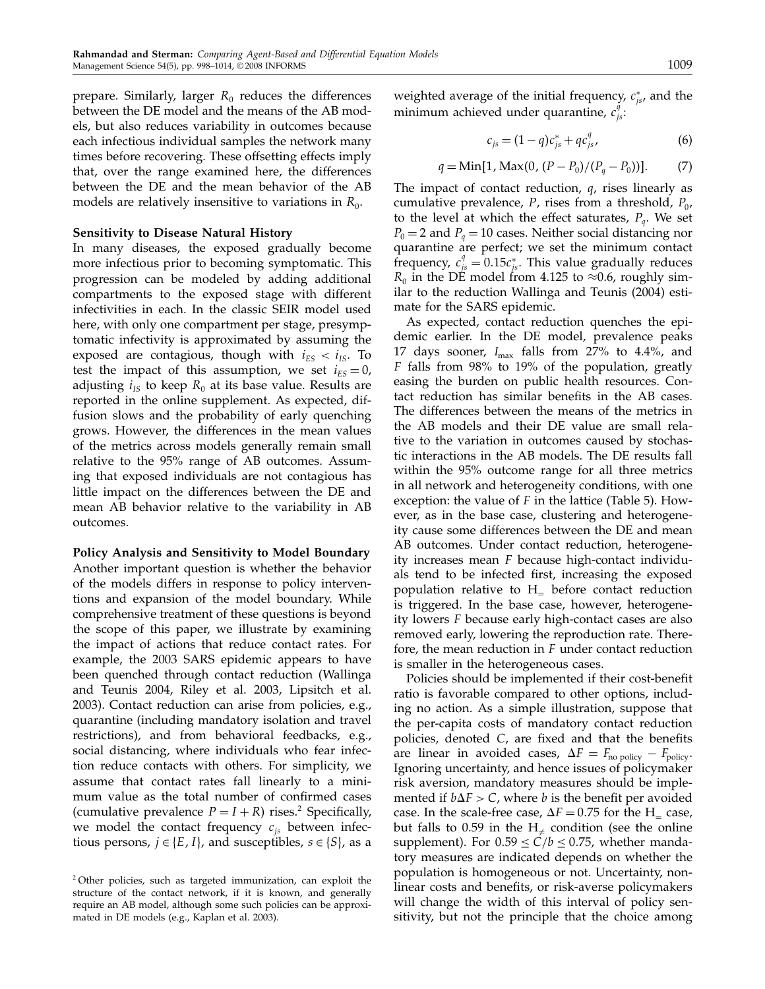prepare. Similarly, larger  $R_0$  reduces the differences between the DE model and the means of the AB models, but also reduces variability in outcomes because each infectious individual samples the network many times before recovering. These offsetting effects imply that, over the range examined here, the differences between the DE and the mean behavior of the AB models are relatively insensitive to variations in  $R_0$ .

#### Sensitivity to Disease Natural History

In many diseases, the exposed gradually become more infectious prior to becoming symptomatic. This progression can be modeled by adding additional compartments to the exposed stage with different infectivities in each. In the classic SEIR model used here, with only one compartment per stage, presymptomatic infectivity is approximated by assuming the exposed are contagious, though with  $i_{ES} < i_{IS}$ . To test the impact of this assumption, we set  $i_{ES} = 0$ , adjusting  $i_{IS}$  to keep  $R_0$  at its base value. Results are reported in the online supplement. As expected, diffusion slows and the probability of early quenching grows. However, the differences in the mean values of the metrics across models generally remain small relative to the 95% range of AB outcomes. Assuming that exposed individuals are not contagious has little impact on the differences between the DE and mean AB behavior relative to the variability in AB outcomes.

## Policy Analysis and Sensitivity to Model Boundary Another important question is whether the behavior of the models differs in response to policy interventions and expansion of the model boundary. While comprehensive treatment of these questions is beyond the scope of this paper, we illustrate by examining the impact of actions that reduce contact rates. For example, the 2003 SARS epidemic appears to have been quenched through contact reduction (Wallinga and Teunis 2004, Riley et al. 2003, Lipsitch et al. 2003). Contact reduction can arise from policies, e.g., quarantine (including mandatory isolation and travel restrictions), and from behavioral feedbacks, e.g., social distancing, where individuals who fear infection reduce contacts with others. For simplicity, we assume that contact rates fall linearly to a minimum value as the total number of confirmed cases (cumulative prevalence  $P = I + R$ ) rises.<sup>2</sup> Specifically, we model the contact frequency  $c_{is}$  between infectious persons,  $j \in \{E, I\}$ , and susceptibles,  $s \in \{S\}$ , as a

weighted average of the initial frequency,  $c_{js}^*$ , and the minimum achieved under quarantine,  $c_{j_s}^{\tilde{q}}$ .

$$
c_{js} = (1 - q)c_{js}^* + qc_{js}^q,
$$
 (6)

$$
q = \text{Min}[1, \text{Max}(0, (P - P_0)/(P_q - P_0))]. \tag{7}
$$

The impact of contact reduction, q, rises linearly as cumulative prevalence, P, rises from a threshold,  $P_0$ , to the level at which the effect saturates,  $P_q$ . We set  $P_0 = 2$  and  $P_a = 10$  cases. Neither social distancing nor quarantine are perfect; we set the minimum contact frequency,  $c_{js}^q = 0.15c_{js}^*$ . This value gradually reduces  $R_0$  in the DE model from 4.125 to ≈0.6, roughly similar to the reduction Wallinga and Teunis (2004) estimate for the SARS epidemic.

As expected, contact reduction quenches the epidemic earlier. In the DE model, prevalence peaks 17 days sooner,  $I_{\text{max}}$  falls from 27% to 4.4%, and F falls from 98% to 19% of the population, greatly easing the burden on public health resources. Contact reduction has similar benefits in the AB cases. The differences between the means of the metrics in the AB models and their DE value are small relative to the variation in outcomes caused by stochastic interactions in the AB models. The DE results fall within the 95% outcome range for all three metrics in all network and heterogeneity conditions, with one exception: the value of  $F$  in the lattice (Table 5). However, as in the base case, clustering and heterogeneity cause some differences between the DE and mean AB outcomes. Under contact reduction, heterogeneity increases mean F because high-contact individuals tend to be infected first, increasing the exposed population relative to  $H_$  before contact reduction is triggered. In the base case, however, heterogeneity lowers F because early high-contact cases are also removed early, lowering the reproduction rate. Therefore, the mean reduction in F under contact reduction is smaller in the heterogeneous cases.

Policies should be implemented if their cost-benefit ratio is favorable compared to other options, including no action. As a simple illustration, suppose that the per-capita costs of mandatory contact reduction policies, denoted C, are fixed and that the benefits are linear in avoided cases,  $\Delta F = F_{\text{no policy}} - F_{\text{policy}}$ . Ignoring uncertainty, and hence issues of policymaker risk aversion, mandatory measures should be implemented if  $b\Delta F > C$ , where b is the benefit per avoided case. In the scale-free case,  $\Delta F = 0.75$  for the H<sub>=</sub> case, but falls to 0.59 in the  $H_{\neq}$  condition (see the online supplement). For  $0.59 \le C/b \le 0.75$ , whether mandatory measures are indicated depends on whether the population is homogeneous or not. Uncertainty, nonlinear costs and benefits, or risk-averse policymakers will change the width of this interval of policy sensitivity, but not the principle that the choice among

<sup>2</sup> Other policies, such as targeted immunization, can exploit the structure of the contact network, if it is known, and generally require an AB model, although some such policies can be approximated in DE models (e.g., Kaplan et al. 2003).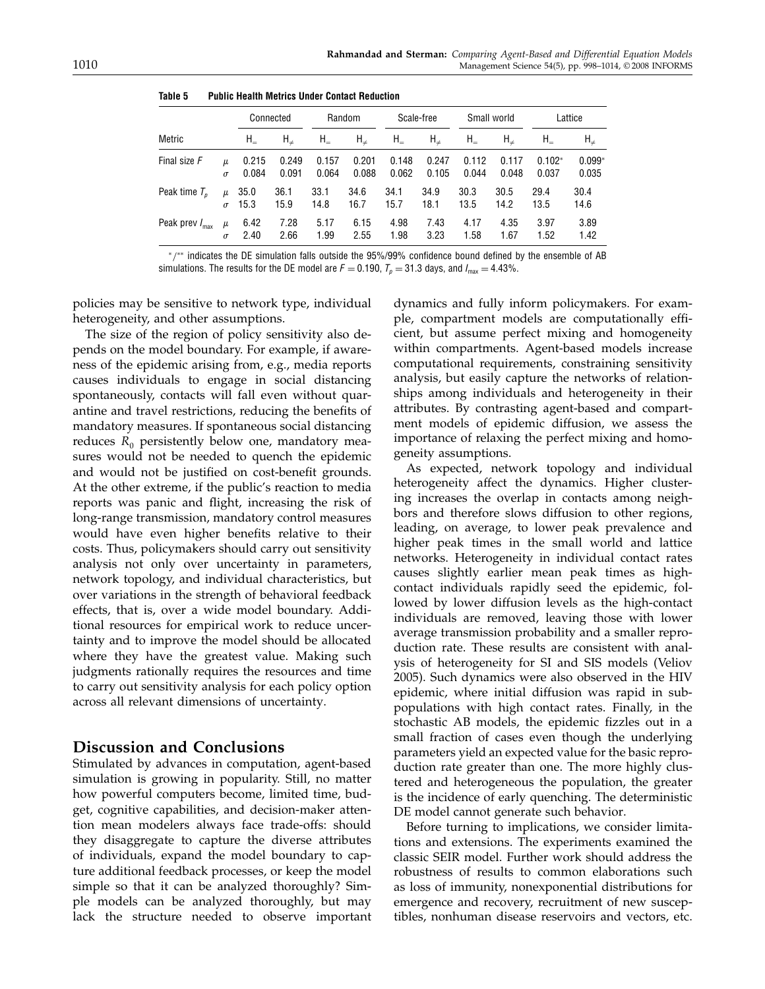|                            |          |             | Connected  |         | Random     |         | Scale-free |         | Small world |          | Lattice    |  |
|----------------------------|----------|-------------|------------|---------|------------|---------|------------|---------|-------------|----------|------------|--|
| Metric                     |          | ${\sf H}_=$ | $H_{\neq}$ | $H_{-}$ | $H_{\neq}$ | $H_{-}$ | $H_{\neq}$ | $H_{-}$ | $H_{\neq}$  | $H_{-}$  | $H_{\neq}$ |  |
| Final size F               | и        | 0.215       | 0.249      | 0.157   | 0.201      | 0.148   | 0.247      | 0.112   | 0.117       | $0.102*$ | $0.099*$   |  |
|                            | $\sigma$ | 0.084       | 0.091      | 0.064   | 0.088      | 0.062   | 0.105      | 0.044   | 0.048       | 0.037    | 0.035      |  |
| Peak time $T_p$            | μ        | 35.0        | 36.1       | 33.1    | 34.6       | 34.1    | 34.9       | 30.3    | 30.5        | 29.4     | 30.4       |  |
|                            | $\sigma$ | 15.3        | 15.9       | 14.8    | 16.7       | 15.7    | 18.1       | 13.5    | 14.2        | 13.5     | 14.6       |  |
| Peak prev $I_{\text{max}}$ | $\mu$    | 6.42        | 7.28       | 5.17    | 6.15       | 4.98    | 7.43       | 4.17    | 4.35        | 3.97     | 3.89       |  |
|                            | $\sigma$ | 2.40        | 2.66       | 1.99    | 2.55       | 1.98    | 3.23       | 1.58    | 1.67        | 1.52     | 1.42       |  |

Table 5 Public Health Metrics Under Contact Reduction

<sup>∗</sup>/∗∗ indicates the DE simulation falls outside the 95%/99% confidence bound defined by the ensemble of AB simulations. The results for the DE model are  $F = 0.190$ ,  $T_p = 31.3$  days, and  $I_{\text{max}} = 4.43\%$ .

policies may be sensitive to network type, individual heterogeneity, and other assumptions.

The size of the region of policy sensitivity also depends on the model boundary. For example, if awareness of the epidemic arising from, e.g., media reports causes individuals to engage in social distancing spontaneously, contacts will fall even without quarantine and travel restrictions, reducing the benefits of mandatory measures. If spontaneous social distancing reduces  $R_0$  persistently below one, mandatory measures would not be needed to quench the epidemic and would not be justified on cost-benefit grounds. At the other extreme, if the public's reaction to media reports was panic and flight, increasing the risk of long-range transmission, mandatory control measures would have even higher benefits relative to their costs. Thus, policymakers should carry out sensitivity analysis not only over uncertainty in parameters, network topology, and individual characteristics, but over variations in the strength of behavioral feedback effects, that is, over a wide model boundary. Additional resources for empirical work to reduce uncertainty and to improve the model should be allocated where they have the greatest value. Making such judgments rationally requires the resources and time to carry out sensitivity analysis for each policy option across all relevant dimensions of uncertainty.

## Discussion and Conclusions

Stimulated by advances in computation, agent-based simulation is growing in popularity. Still, no matter how powerful computers become, limited time, budget, cognitive capabilities, and decision-maker attention mean modelers always face trade-offs: should they disaggregate to capture the diverse attributes of individuals, expand the model boundary to capture additional feedback processes, or keep the model simple so that it can be analyzed thoroughly? Simple models can be analyzed thoroughly, but may lack the structure needed to observe important dynamics and fully inform policymakers. For example, compartment models are computationally efficient, but assume perfect mixing and homogeneity within compartments. Agent-based models increase computational requirements, constraining sensitivity analysis, but easily capture the networks of relationships among individuals and heterogeneity in their attributes. By contrasting agent-based and compartment models of epidemic diffusion, we assess the importance of relaxing the perfect mixing and homogeneity assumptions.

As expected, network topology and individual heterogeneity affect the dynamics. Higher clustering increases the overlap in contacts among neighbors and therefore slows diffusion to other regions, leading, on average, to lower peak prevalence and higher peak times in the small world and lattice networks. Heterogeneity in individual contact rates causes slightly earlier mean peak times as highcontact individuals rapidly seed the epidemic, followed by lower diffusion levels as the high-contact individuals are removed, leaving those with lower average transmission probability and a smaller reproduction rate. These results are consistent with analysis of heterogeneity for SI and SIS models (Veliov 2005). Such dynamics were also observed in the HIV epidemic, where initial diffusion was rapid in subpopulations with high contact rates. Finally, in the stochastic AB models, the epidemic fizzles out in a small fraction of cases even though the underlying parameters yield an expected value for the basic reproduction rate greater than one. The more highly clustered and heterogeneous the population, the greater is the incidence of early quenching. The deterministic DE model cannot generate such behavior.

Before turning to implications, we consider limitations and extensions. The experiments examined the classic SEIR model. Further work should address the robustness of results to common elaborations such as loss of immunity, nonexponential distributions for emergence and recovery, recruitment of new susceptibles, nonhuman disease reservoirs and vectors, etc.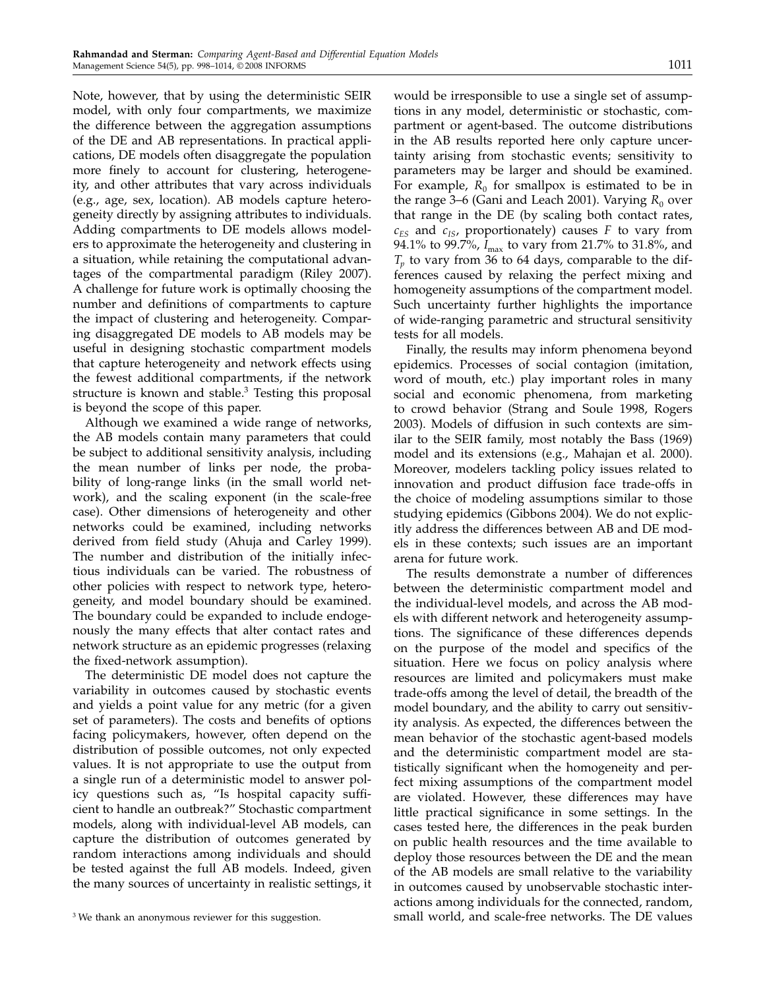Note, however, that by using the deterministic SEIR model, with only four compartments, we maximize the difference between the aggregation assumptions of the DE and AB representations. In practical applications, DE models often disaggregate the population more finely to account for clustering, heterogeneity, and other attributes that vary across individuals (e.g., age, sex, location). AB models capture heterogeneity directly by assigning attributes to individuals. Adding compartments to DE models allows modelers to approximate the heterogeneity and clustering in a situation, while retaining the computational advantages of the compartmental paradigm (Riley 2007). A challenge for future work is optimally choosing the number and definitions of compartments to capture the impact of clustering and heterogeneity. Comparing disaggregated DE models to AB models may be useful in designing stochastic compartment models that capture heterogeneity and network effects using the fewest additional compartments, if the network structure is known and stable. $3$  Testing this proposal is beyond the scope of this paper.

Although we examined a wide range of networks, the AB models contain many parameters that could be subject to additional sensitivity analysis, including the mean number of links per node, the probability of long-range links (in the small world network), and the scaling exponent (in the scale-free case). Other dimensions of heterogeneity and other networks could be examined, including networks derived from field study (Ahuja and Carley 1999). The number and distribution of the initially infectious individuals can be varied. The robustness of other policies with respect to network type, heterogeneity, and model boundary should be examined. The boundary could be expanded to include endogenously the many effects that alter contact rates and network structure as an epidemic progresses (relaxing the fixed-network assumption).

The deterministic DE model does not capture the variability in outcomes caused by stochastic events and yields a point value for any metric (for a given set of parameters). The costs and benefits of options facing policymakers, however, often depend on the distribution of possible outcomes, not only expected values. It is not appropriate to use the output from a single run of a deterministic model to answer policy questions such as, "Is hospital capacity sufficient to handle an outbreak?" Stochastic compartment models, along with individual-level AB models, can capture the distribution of outcomes generated by random interactions among individuals and should be tested against the full AB models. Indeed, given the many sources of uncertainty in realistic settings, it

would be irresponsible to use a single set of assumptions in any model, deterministic or stochastic, compartment or agent-based. The outcome distributions in the AB results reported here only capture uncertainty arising from stochastic events; sensitivity to parameters may be larger and should be examined. For example,  $R_0$  for smallpox is estimated to be in the range 3–6 (Gani and Leach 2001). Varying  $R_0$  over that range in the DE (by scaling both contact rates,  $c_{ES}$  and  $c_{IS}$ , proportionately) causes F to vary from 94.1% to 99.7%,  $I_{\text{max}}$  to vary from 21.7% to 31.8%, and  $T_p$  to vary from 36 to 64 days, comparable to the differences caused by relaxing the perfect mixing and homogeneity assumptions of the compartment model. Such uncertainty further highlights the importance of wide-ranging parametric and structural sensitivity tests for all models.

Finally, the results may inform phenomena beyond epidemics. Processes of social contagion (imitation, word of mouth, etc.) play important roles in many social and economic phenomena, from marketing to crowd behavior (Strang and Soule 1998, Rogers 2003). Models of diffusion in such contexts are similar to the SEIR family, most notably the Bass (1969) model and its extensions (e.g., Mahajan et al. 2000). Moreover, modelers tackling policy issues related to innovation and product diffusion face trade-offs in the choice of modeling assumptions similar to those studying epidemics (Gibbons 2004). We do not explicitly address the differences between AB and DE models in these contexts; such issues are an important arena for future work.

The results demonstrate a number of differences between the deterministic compartment model and the individual-level models, and across the AB models with different network and heterogeneity assumptions. The significance of these differences depends on the purpose of the model and specifics of the situation. Here we focus on policy analysis where resources are limited and policymakers must make trade-offs among the level of detail, the breadth of the model boundary, and the ability to carry out sensitivity analysis. As expected, the differences between the mean behavior of the stochastic agent-based models and the deterministic compartment model are statistically significant when the homogeneity and perfect mixing assumptions of the compartment model are violated. However, these differences may have little practical significance in some settings. In the cases tested here, the differences in the peak burden on public health resources and the time available to deploy those resources between the DE and the mean of the AB models are small relative to the variability in outcomes caused by unobservable stochastic interactions among individuals for the connected, random, small world, and scale-free networks. The DE values

<sup>&</sup>lt;sup>3</sup> We thank an anonymous reviewer for this suggestion.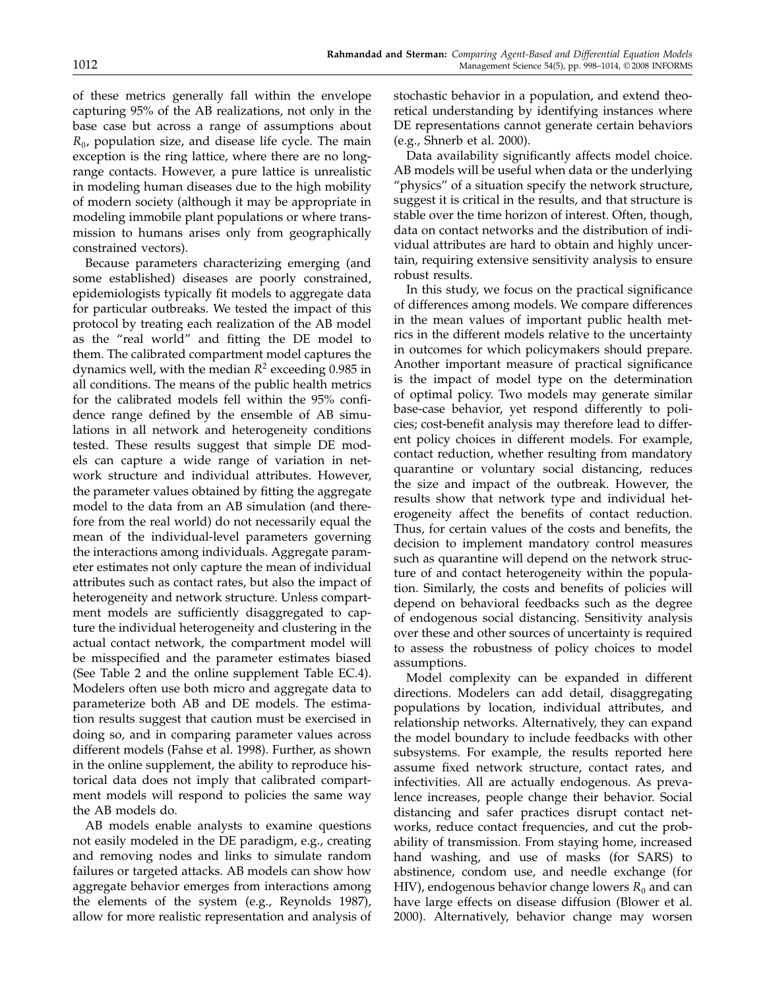of these metrics generally fall within the envelope capturing 95% of the AB realizations, not only in the base case but across a range of assumptions about  $R<sub>0</sub>$ , population size, and disease life cycle. The main exception is the ring lattice, where there are no longrange contacts. However, a pure lattice is unrealistic in modeling human diseases due to the high mobility of modern society (although it may be appropriate in modeling immobile plant populations or where transmission to humans arises only from geographically constrained vectors).

Because parameters characterizing emerging (and some established) diseases are poorly constrained, epidemiologists typically fit models to aggregate data for particular outbreaks. We tested the impact of this protocol by treating each realization of the AB model as the "real world" and fitting the DE model to them. The calibrated compartment model captures the dynamics well, with the median  $R^2$  exceeding 0.985 in all conditions. The means of the public health metrics for the calibrated models fell within the 95% confidence range defined by the ensemble of AB simulations in all network and heterogeneity conditions tested. These results suggest that simple DE models can capture a wide range of variation in network structure and individual attributes. However, the parameter values obtained by fitting the aggregate model to the data from an AB simulation (and therefore from the real world) do not necessarily equal the mean of the individual-level parameters governing the interactions among individuals. Aggregate parameter estimates not only capture the mean of individual attributes such as contact rates, but also the impact of heterogeneity and network structure. Unless compartment models are sufficiently disaggregated to capture the individual heterogeneity and clustering in the actual contact network, the compartment model will be misspecified and the parameter estimates biased (See Table 2 and the online supplement Table EC.4). Modelers often use both micro and aggregate data to parameterize both AB and DE models. The estimation results suggest that caution must be exercised in doing so, and in comparing parameter values across different models (Fahse et al. 1998). Further, as shown in the online supplement, the ability to reproduce historical data does not imply that calibrated compartment models will respond to policies the same way the AB models do.

AB models enable analysts to examine questions not easily modeled in the DE paradigm, e.g., creating and removing nodes and links to simulate random failures or targeted attacks. AB models can show how aggregate behavior emerges from interactions among the elements of the system (e.g., Reynolds 1987), allow for more realistic representation and analysis of stochastic behavior in a population, and extend theoretical understanding by identifying instances where DE representations cannot generate certain behaviors (e.g., Shnerb et al. 2000).

Data availability significantly affects model choice. AB models will be useful when data or the underlying "physics" of a situation specify the network structure, suggest it is critical in the results, and that structure is stable over the time horizon of interest. Often, though, data on contact networks and the distribution of individual attributes are hard to obtain and highly uncertain, requiring extensive sensitivity analysis to ensure robust results.

In this study, we focus on the practical significance of differences among models. We compare differences in the mean values of important public health metrics in the different models relative to the uncertainty in outcomes for which policymakers should prepare. Another important measure of practical significance is the impact of model type on the determination of optimal policy. Two models may generate similar base-case behavior, yet respond differently to policies; cost-benefit analysis may therefore lead to different policy choices in different models. For example, contact reduction, whether resulting from mandatory quarantine or voluntary social distancing, reduces the size and impact of the outbreak. However, the results show that network type and individual heterogeneity affect the benefits of contact reduction. Thus, for certain values of the costs and benefits, the decision to implement mandatory control measures such as quarantine will depend on the network structure of and contact heterogeneity within the population. Similarly, the costs and benefits of policies will depend on behavioral feedbacks such as the degree of endogenous social distancing. Sensitivity analysis over these and other sources of uncertainty is required to assess the robustness of policy choices to model assumptions.

Model complexity can be expanded in different directions. Modelers can add detail, disaggregating populations by location, individual attributes, and relationship networks. Alternatively, they can expand the model boundary to include feedbacks with other subsystems. For example, the results reported here assume fixed network structure, contact rates, and infectivities. All are actually endogenous. As prevalence increases, people change their behavior. Social distancing and safer practices disrupt contact networks, reduce contact frequencies, and cut the probability of transmission. From staying home, increased hand washing, and use of masks (for SARS) to abstinence, condom use, and needle exchange (for HIV), endogenous behavior change lowers  $R_0$  and can have large effects on disease diffusion (Blower et al. 2000). Alternatively, behavior change may worsen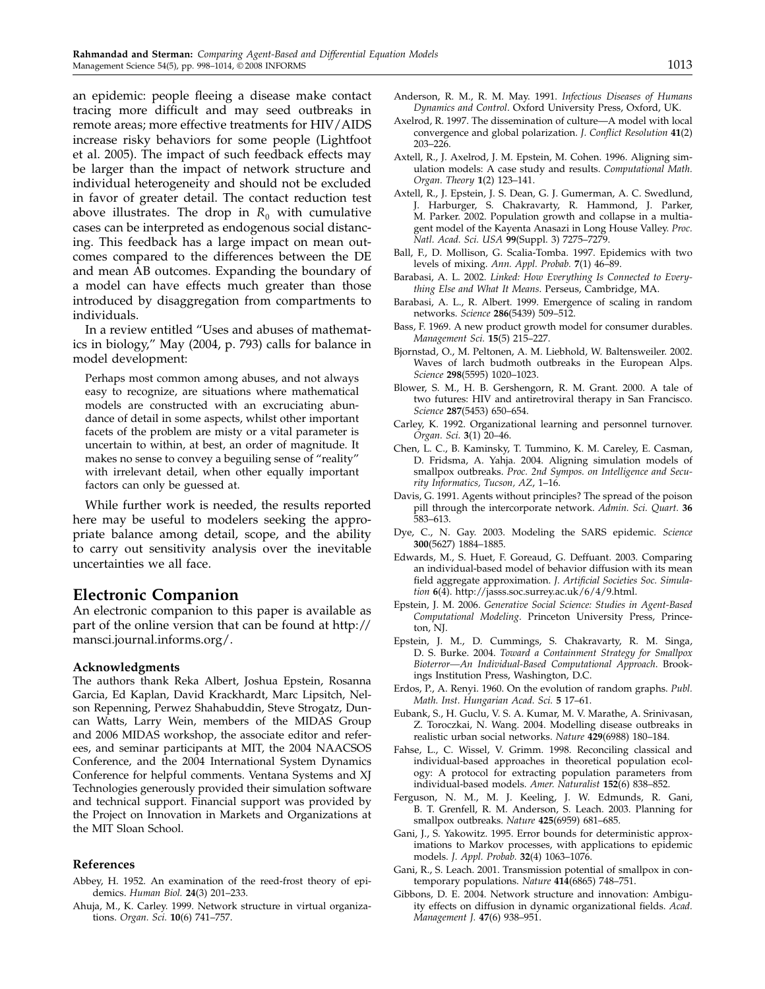an epidemic: people fleeing a disease make contact tracing more difficult and may seed outbreaks in remote areas; more effective treatments for HIV/AIDS increase risky behaviors for some people (Lightfoot et al. 2005). The impact of such feedback effects may be larger than the impact of network structure and individual heterogeneity and should not be excluded in favor of greater detail. The contact reduction test above illustrates. The drop in  $R_0$  with cumulative cases can be interpreted as endogenous social distancing. This feedback has a large impact on mean outcomes compared to the differences between the DE and mean AB outcomes. Expanding the boundary of a model can have effects much greater than those introduced by disaggregation from compartments to individuals.

In a review entitled "Uses and abuses of mathematics in biology," May (2004, p. 793) calls for balance in model development:

Perhaps most common among abuses, and not always easy to recognize, are situations where mathematical models are constructed with an excruciating abundance of detail in some aspects, whilst other important facets of the problem are misty or a vital parameter is uncertain to within, at best, an order of magnitude. It makes no sense to convey a beguiling sense of "reality" with irrelevant detail, when other equally important factors can only be guessed at.

While further work is needed, the results reported here may be useful to modelers seeking the appropriate balance among detail, scope, and the ability to carry out sensitivity analysis over the inevitable uncertainties we all face.

### Electronic Companion

An electronic companion to this paper is available as part of the online version that can be found at http:// mansci.journal.informs.org/.

#### Acknowledgments

The authors thank Reka Albert, Joshua Epstein, Rosanna Garcia, Ed Kaplan, David Krackhardt, Marc Lipsitch, Nelson Repenning, Perwez Shahabuddin, Steve Strogatz, Duncan Watts, Larry Wein, members of the MIDAS Group and 2006 MIDAS workshop, the associate editor and referees, and seminar participants at MIT, the 2004 NAACSOS Conference, and the 2004 International System Dynamics Conference for helpful comments. Ventana Systems and XJ Technologies generously provided their simulation software and technical support. Financial support was provided by the Project on Innovation in Markets and Organizations at the MIT Sloan School.

#### References

- Abbey, H. 1952. An examination of the reed-frost theory of epidemics. Human Biol. 24(3) 201–233.
- Ahuja, M., K. Carley. 1999. Network structure in virtual organizations. Organ. Sci. 10(6) 741–757.
- Anderson, R. M., R. M. May. 1991. Infectious Diseases of Humans Dynamics and Control. Oxford University Press, Oxford, UK.
- Axelrod, R. 1997. The dissemination of culture—A model with local convergence and global polarization. J. Conflict Resolution 41(2) 203–226.
- Axtell, R., J. Axelrod, J. M. Epstein, M. Cohen. 1996. Aligning simulation models: A case study and results. Computational Math. Organ. Theory 1(2) 123–141.
- Axtell, R., J. Epstein, J. S. Dean, G. J. Gumerman, A. C. Swedlund, J. Harburger, S. Chakravarty, R. Hammond, J. Parker, M. Parker. 2002. Population growth and collapse in a multiagent model of the Kayenta Anasazi in Long House Valley. Proc. Natl. Acad. Sci. USA 99(Suppl. 3) 7275–7279.
- Ball, F., D. Mollison, G. Scalia-Tomba. 1997. Epidemics with two levels of mixing. Ann. Appl. Probab. 7(1) 46–89.
- Barabasi, A. L. 2002. Linked: How Everything Is Connected to Everything Else and What It Means. Perseus, Cambridge, MA.
- Barabasi, A. L., R. Albert. 1999. Emergence of scaling in random networks. Science 286(5439) 509–512.
- Bass, F. 1969. A new product growth model for consumer durables. Management Sci. 15(5) 215–227.
- Bjornstad, O., M. Peltonen, A. M. Liebhold, W. Baltensweiler. 2002. Waves of larch budmoth outbreaks in the European Alps. Science 298(5595) 1020–1023.
- Blower, S. M., H. B. Gershengorn, R. M. Grant. 2000. A tale of two futures: HIV and antiretroviral therapy in San Francisco. Science 287(5453) 650–654.
- Carley, K. 1992. Organizational learning and personnel turnover. Organ. Sci. 3(1) 20–46.
- Chen, L. C., B. Kaminsky, T. Tummino, K. M. Careley, E. Casman, D. Fridsma, A. Yahja. 2004. Aligning simulation models of smallpox outbreaks. Proc. 2nd Sympos. on Intelligence and Security Informatics, Tucson, AZ, 1–16.
- Davis, G. 1991. Agents without principles? The spread of the poison pill through the intercorporate network. Admin. Sci. Quart. 36 583–613.
- Dye, C., N. Gay. 2003. Modeling the SARS epidemic. Science 300(5627) 1884–1885.
- Edwards, M., S. Huet, F. Goreaud, G. Deffuant. 2003. Comparing an individual-based model of behavior diffusion with its mean field aggregate approximation. J. Artificial Societies Soc. Simulation 6(4). http://jasss.soc.surrey.ac.uk/6/4/9.html.
- Epstein, J. M. 2006. Generative Social Science: Studies in Agent-Based Computational Modeling. Princeton University Press, Princeton, NJ.
- Epstein, J. M., D. Cummings, S. Chakravarty, R. M. Singa, D. S. Burke. 2004. Toward a Containment Strategy for Smallpox Bioterror—An Individual-Based Computational Approach. Brookings Institution Press, Washington, D.C.
- Erdos, P., A. Renyi. 1960. On the evolution of random graphs. Publ. Math. Inst. Hungarian Acad. Sci. 5 17–61.
- Eubank, S., H. Guclu, V. S. A. Kumar, M. V. Marathe, A. Srinivasan, Z. Toroczkai, N. Wang. 2004. Modelling disease outbreaks in realistic urban social networks. Nature 429(6988) 180–184.
- Fahse, L., C. Wissel, V. Grimm. 1998. Reconciling classical and individual-based approaches in theoretical population ecology: A protocol for extracting population parameters from individual-based models. Amer. Naturalist 152(6) 838–852.
- Ferguson, N. M., M. J. Keeling, J. W. Edmunds, R. Gani, B. T. Grenfell, R. M. Anderson, S. Leach. 2003. Planning for smallpox outbreaks. Nature 425(6959) 681–685.
- Gani, J., S. Yakowitz. 1995. Error bounds for deterministic approximations to Markov processes, with applications to epidemic models. J. Appl. Probab. 32(4) 1063–1076.
- Gani, R., S. Leach. 2001. Transmission potential of smallpox in contemporary populations. Nature 414(6865) 748–751.
- Gibbons, D. E. 2004. Network structure and innovation: Ambiguity effects on diffusion in dynamic organizational fields. Acad. Management J. 47(6) 938–951.